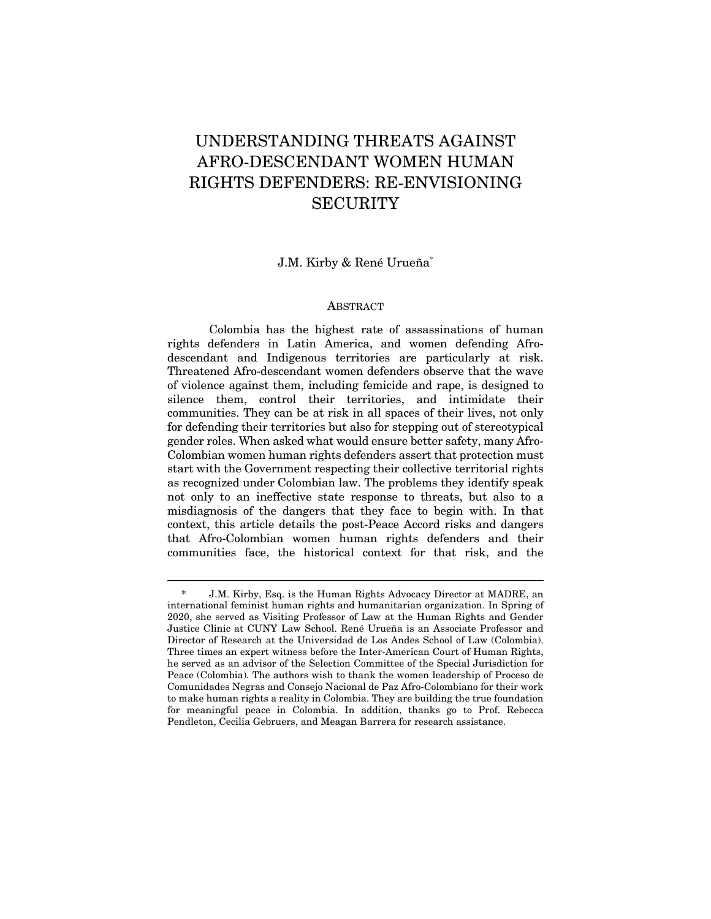# UNDERSTANDING THREATS AGAINST AFRO-DESCENDANT WOMEN HUMAN RIGHTS DEFENDERS: RE-ENVISIONING **SECURITY**

J.M. Kirby & René Urueña\*

#### ABSTRACT

Colombia has the highest rate of assassinations of human rights defenders in Latin America, and women defending Afrodescendant and Indigenous territories are particularly at risk. Threatened Afro-descendant women defenders observe that the wave of violence against them, including femicide and rape, is designed to silence them, control their territories, and intimidate their communities. They can be at risk in all spaces of their lives, not only for defending their territories but also for stepping out of stereotypical gender roles. When asked what would ensure better safety, many Afro-Colombian women human rights defenders assert that protection must start with the Government respecting their collective territorial rights as recognized under Colombian law. The problems they identify speak not only to an ineffective state response to threats, but also to a misdiagnosis of the dangers that they face to begin with. In that context, this article details the post-Peace Accord risks and dangers that Afro-Colombian women human rights defenders and their communities face, the historical context for that risk, and the

<sup>\*</sup> J.M. Kirby, Esq. is the Human Rights Advocacy Director at MADRE, an international feminist human rights and humanitarian organization. In Spring of 2020, she served as Visiting Professor of Law at the Human Rights and Gender Justice Clinic at CUNY Law School. René Urueña is an Associate Professor and Director of Research at the Universidad de Los Andes School of Law (Colombia). Three times an expert witness before the Inter-American Court of Human Rights, he served as an advisor of the Selection Committee of the Special Jurisdiction for Peace (Colombia). The authors wish to thank the women leadership of Proceso de Comunidades Negras and Consejo Nacional de Paz Afro-Colombiano for their work to make human rights a reality in Colombia. They are building the true foundation for meaningful peace in Colombia. In addition, thanks go to Prof. Rebecca Pendleton, Cecilia Gebruers, and Meagan Barrera for research assistance.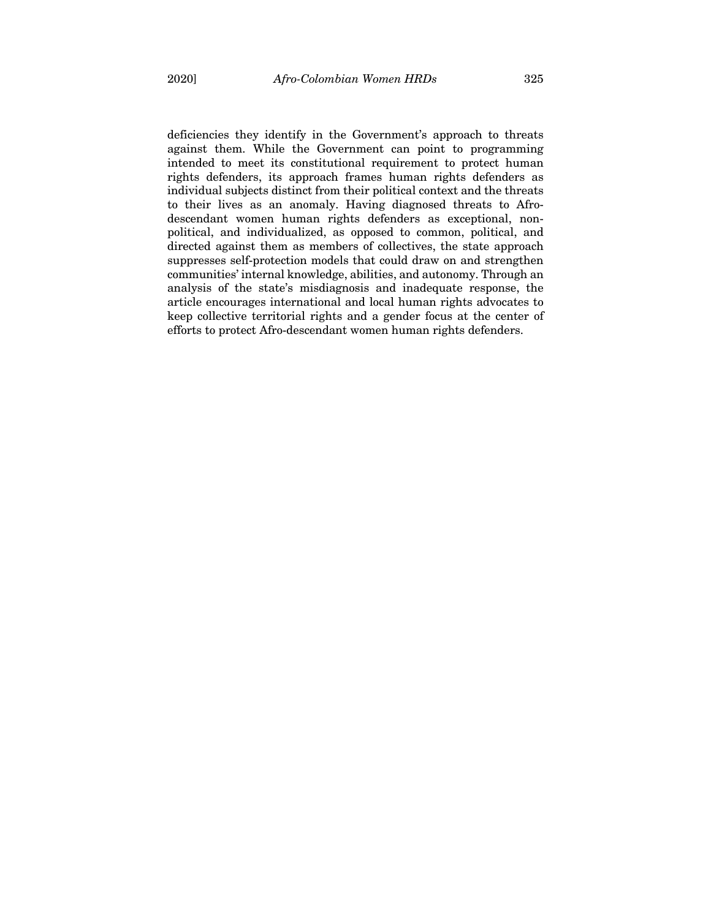deficiencies they identify in the Government's approach to threats against them. While the Government can point to programming intended to meet its constitutional requirement to protect human rights defenders, its approach frames human rights defenders as individual subjects distinct from their political context and the threats to their lives as an anomaly. Having diagnosed threats to Afrodescendant women human rights defenders as exceptional, nonpolitical, and individualized, as opposed to common, political, and directed against them as members of collectives, the state approach suppresses self-protection models that could draw on and strengthen communities' internal knowledge, abilities, and autonomy. Through an analysis of the state's misdiagnosis and inadequate response, the article encourages international and local human rights advocates to keep collective territorial rights and a gender focus at the center of efforts to protect Afro-descendant women human rights defenders.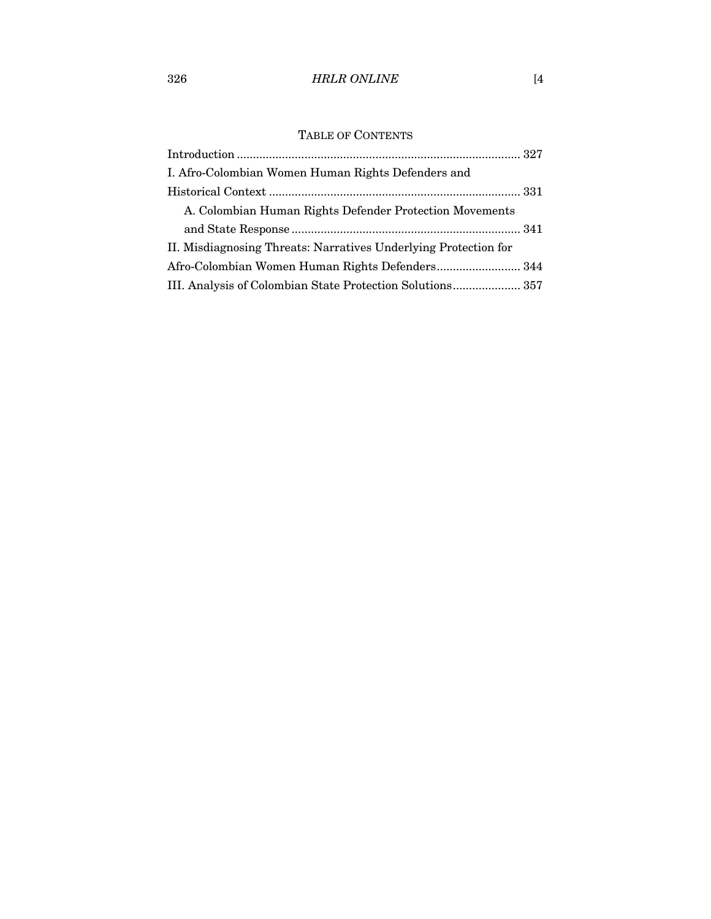## 326 *HRLR ONLINE* [4

## TABLE OF CONTENTS

| I. Afro-Colombian Women Human Rights Defenders and              |  |
|-----------------------------------------------------------------|--|
|                                                                 |  |
| A. Colombian Human Rights Defender Protection Movements         |  |
|                                                                 |  |
| II. Misdiagnosing Threats: Narratives Underlying Protection for |  |
|                                                                 |  |
| III. Analysis of Colombian State Protection Solutions 357       |  |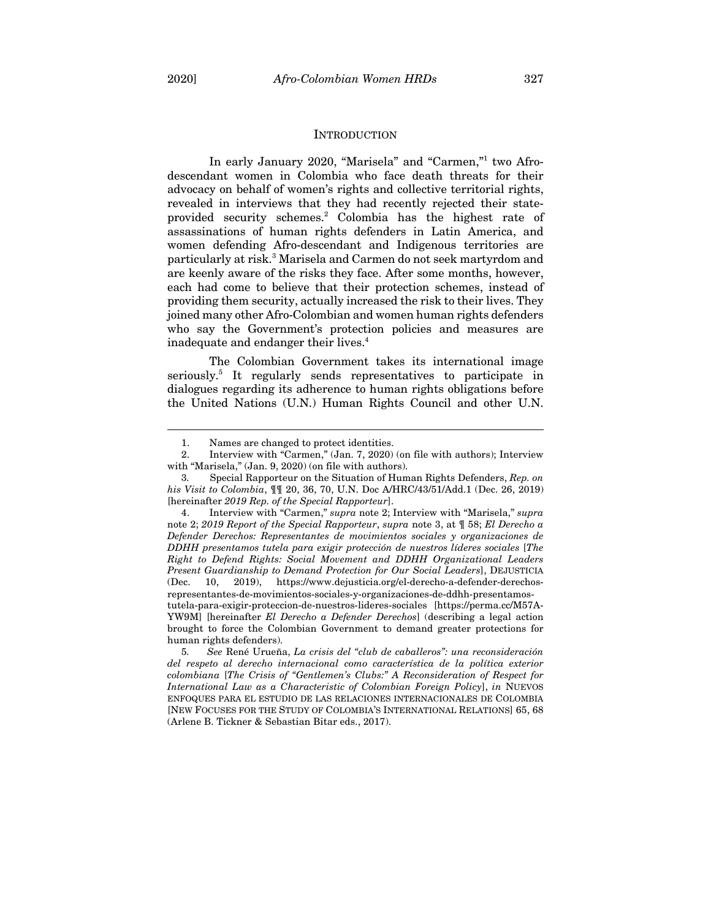#### **INTRODUCTION**

In early January 2020, "Marisela" and "Carmen,"<sup>1</sup> two Afrodescendant women in Colombia who face death threats for their advocacy on behalf of women's rights and collective territorial rights, revealed in interviews that they had recently rejected their stateprovided security schemes.2 Colombia has the highest rate of assassinations of human rights defenders in Latin America, and women defending Afro-descendant and Indigenous territories are particularly at risk. <sup>3</sup> Marisela and Carmen do not seek martyrdom and are keenly aware of the risks they face. After some months, however, each had come to believe that their protection schemes, instead of providing them security, actually increased the risk to their lives. They joined many other Afro-Colombian and women human rights defenders who say the Government's protection policies and measures are inadequate and endanger their lives. 4

The Colombian Government takes its international image seriously. <sup>5</sup> It regularly sends representatives to participate in dialogues regarding its adherence to human rights obligations before the United Nations (U.N.) Human Rights Council and other U.N.

<sup>1.</sup> Names are changed to protect identities.

<sup>2.</sup> Interview with "Carmen," (Jan. 7, 2020) (on file with authors); Interview with "Marisela," (Jan. 9, 2020) (on file with authors).

<sup>3</sup>*.* Special Rapporteur on the Situation of Human Rights Defenders, *Rep. on his Visit to Colombia*, ¶¶ 20, 36, 70, U.N. Doc A/HRC/43/51/Add.1 (Dec. 26, 2019) [hereinafter *2019 Rep. of the Special Rapporteur*].

<sup>4.</sup> Interview with "Carmen," *supra* note 2; Interview with "Marisela," *supra* note 2; *2019 Report of the Special Rapporteur*, *supra* note 3, at ¶ 58; *El Derecho a Defender Derechos: Representantes de movimientos sociales y organizaciones de DDHH presentamos tutela para exigir protección de nuestros líderes sociales* [*The Right to Defend Rights: Social Movement and DDHH Organizational Leaders Present Guardianship to Demand Protection for Our Social Leaders*], DEJUSTICIA (Dec. 10, 2019), https://www.dejusticia.org/el-derecho-a-defender-derechosrepresentantes-de-movimientos-sociales-y-organizaciones-de-ddhh-presentamostutela-para-exigir-proteccion-de-nuestros-lideres-sociales [https://perma.cc/M57A-YW9M] [hereinafter *El Derecho a Defender Derechos*] (describing a legal action brought to force the Colombian Government to demand greater protections for human rights defenders).

<sup>5</sup>*. See* René Urueña, *La crisis del "club de caballeros": una reconsideración del respeto al derecho internacional como característica de la política exterior colombiana* [*The Crisis of "Gentlemen's Clubs:" A Reconsideration of Respect for International Law as a Characteristic of Colombian Foreign Policy*], *in* NUEVOS ENFOQUES PARA EL ESTUDIO DE LAS RELACIONES INTERNACIONALES DE COLOMBIA [NEW FOCUSES FOR THE STUDY OF COLOMBIA'S INTERNATIONAL RELATIONS] 65, 68 (Arlene B. Tickner & Sebastian Bitar eds., 2017).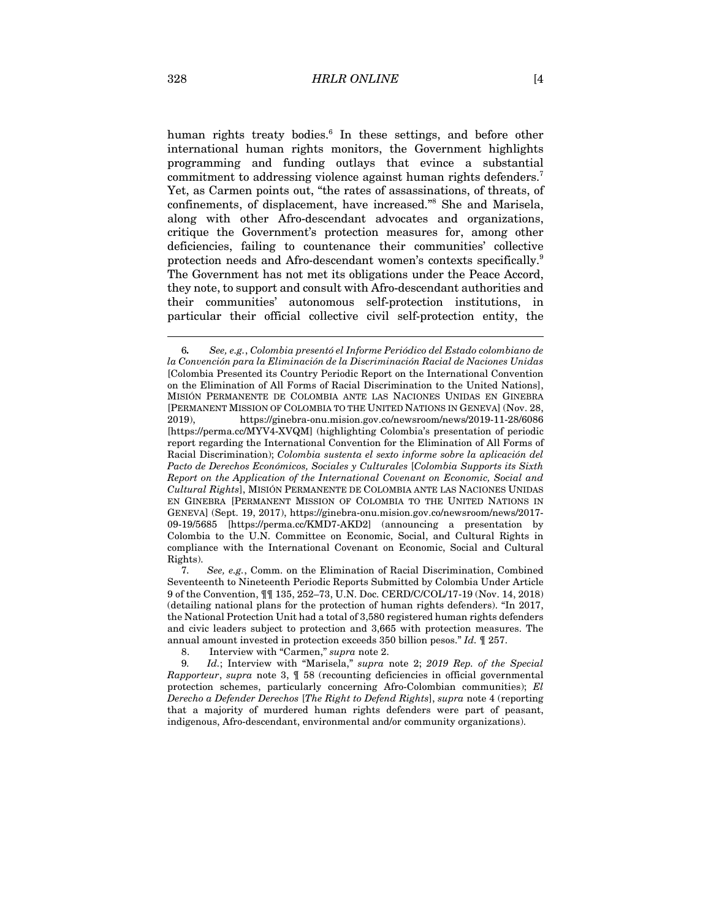human rights treaty bodies. <sup>6</sup> In these settings, and before other international human rights monitors, the Government highlights programming and funding outlays that evince a substantial commitment to addressing violence against human rights defenders.<sup>7</sup> Yet, as Carmen points out, "the rates of assassinations, of threats, of confinements, of displacement, have increased." <sup>8</sup> She and Marisela, along with other Afro-descendant advocates and organizations, critique the Government's protection measures for, among other deficiencies, failing to countenance their communities' collective protection needs and Afro-descendant women's contexts specifically.9 The Government has not met its obligations under the Peace Accord, they note, to support and consult with Afro-descendant authorities and their communities' autonomous self-protection institutions, in particular their official collective civil self-protection entity, the

7*. See, e.g.*, Comm. on the Elimination of Racial Discrimination, Combined Seventeenth to Nineteenth Periodic Reports Submitted by Colombia Under Article 9 of the Convention, ¶¶ 135, 252–73, U.N. Doc. CERD/C/COL/17-19 (Nov. 14, 2018) (detailing national plans for the protection of human rights defenders). "In 2017, the National Protection Unit had a total of 3,580 registered human rights defenders and civic leaders subject to protection and 3,665 with protection measures. The annual amount invested in protection exceeds 350 billion pesos." *Id.* ¶ 257.

8. Interview with "Carmen," *supra* note 2.

9*. Id.*; Interview with "Marisela," *supra* note 2; *2019 Rep. of the Special Rapporteur*, *supra* note 3, ¶ 58 (recounting deficiencies in official governmental protection schemes, particularly concerning Afro-Colombian communities); *El Derecho a Defender Derechos* [*The Right to Defend Rights*], *supra* note 4 (reporting that a majority of murdered human rights defenders were part of peasant, indigenous, Afro-descendant, environmental and/or community organizations).

<sup>6</sup>*. See, e.g.*, *Colombia presentó el Informe Periódico del Estado colombiano de la Convención para la Eliminación de la Discriminación Racial de Naciones Unidas* [Colombia Presented its Country Periodic Report on the International Convention on the Elimination of All Forms of Racial Discrimination to the United Nations], MISIÓN PERMANENTE DE COLOMBIA ANTE LAS NACIONES UNIDAS EN GINEBRA [PERMANENT MISSION OF COLOMBIA TO THE UNITED NATIONS IN GENEVA] (Nov. 28, 2019), https://ginebra-onu.mision.gov.co/newsroom/news/2019-11-28/6086 [https://perma.cc/MYV4-XVQM] (highlighting Colombia's presentation of periodic report regarding the International Convention for the Elimination of All Forms of Racial Discrimination); *Colombia sustenta el sexto informe sobre la aplicación del Pacto de Derechos Económicos, Sociales y Culturales* [*Colombia Supports its Sixth Report on the Application of the International Covenant on Economic, Social and Cultural Rights*], MISIÓN PERMANENTE DE COLOMBIA ANTE LAS NACIONES UNIDAS EN GINEBRA [PERMANENT MISSION OF COLOMBIA TO THE UNITED NATIONS IN GENEVA] (Sept. 19, 2017), https://ginebra-onu.mision.gov.co/newsroom/news/2017- 09-19/5685 [https://perma.cc/KMD7-AKD2] (announcing a presentation by Colombia to the U.N. Committee on Economic, Social, and Cultural Rights in compliance with the International Covenant on Economic, Social and Cultural Rights).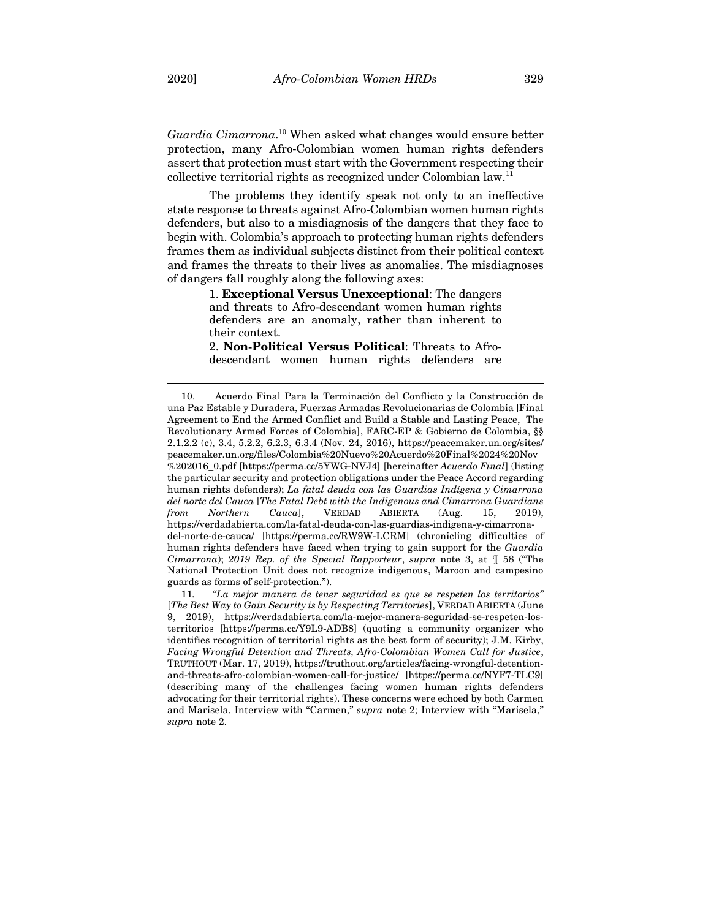*Guardia Cimarrona*. <sup>10</sup> When asked what changes would ensure better protection, many Afro-Colombian women human rights defenders assert that protection must start with the Government respecting their collective territorial rights as recognized under Colombian law.<sup>11</sup>

The problems they identify speak not only to an ineffective state response to threats against Afro-Colombian women human rights defenders, but also to a misdiagnosis of the dangers that they face to begin with. Colombia's approach to protecting human rights defenders frames them as individual subjects distinct from their political context and frames the threats to their lives as anomalies. The misdiagnoses of dangers fall roughly along the following axes:

> 1. **Exceptional Versus Unexceptional**: The dangers and threats to Afro-descendant women human rights defenders are an anomaly, rather than inherent to their context.

> 2. **Non-Political Versus Political**: Threats to Afrodescendant women human rights defenders are

<sup>10.</sup> Acuerdo Final Para la Terminación del Conflicto y la Construcción de una Paz Estable y Duradera, Fuerzas Armadas Revolucionarias de Colombia [Final Agreement to End the Armed Conflict and Build a Stable and Lasting Peace, The Revolutionary Armed Forces of Colombia], FARC-EP & Gobierno de Colombia, §§ 2.1.2.2 (c), 3.4, 5.2.2, 6.2.3, 6.3.4 (Nov. 24, 2016), https://peacemaker.un.org/sites/ peacemaker.un.org/files/Colombia%20Nuevo%20Acuerdo%20Final%2024%20Nov %202016\_0.pdf [https://perma.cc/5YWG-NVJ4] [hereinafter *Acuerdo Final*] (listing the particular security and protection obligations under the Peace Accord regarding human rights defenders); *La fatal deuda con las Guardias Indígena y Cimarrona del norte del Cauca* [*The Fatal Debt with the Indigenous and Cimarrona Guardians from Northern Cauca*], VERDAD ABIERTA (Aug. 15, 2019), https://verdadabierta.com/la-fatal-deuda-con-las-guardias-indigena-y-cimarronadel-norte-de-cauca/ [https://perma.cc/RW9W-LCRM] (chronicling difficulties of human rights defenders have faced when trying to gain support for the *Guardia Cimarrona*); *2019 Rep. of the Special Rapporteur*, *supra* note 3, at ¶ 58 ("The National Protection Unit does not recognize indigenous, Maroon and campesino guards as forms of self-protection.").

<sup>11</sup>*. "La mejor manera de tener seguridad es que se respeten los territorios"* [*The Best Way to Gain Security is by Respecting Territories*], VERDAD ABIERTA (June 9, 2019), https://verdadabierta.com/la-mejor-manera-seguridad-se-respeten-losterritorios [https://perma.cc/Y9L9-ADB8] (quoting a community organizer who identifies recognition of territorial rights as the best form of security); J.M. Kirby, *Facing Wrongful Detention and Threats, Afro-Colombian Women Call for Justice*, TRUTHOUT (Mar. 17, 2019), https://truthout.org/articles/facing-wrongful-detentionand-threats-afro-colombian-women-call-for-justice/ [https://perma.cc/NYF7-TLC9] (describing many of the challenges facing women human rights defenders advocating for their territorial rights). These concerns were echoed by both Carmen and Marisela. Interview with "Carmen," *supra* note 2; Interview with "Marisela," *supra* note 2.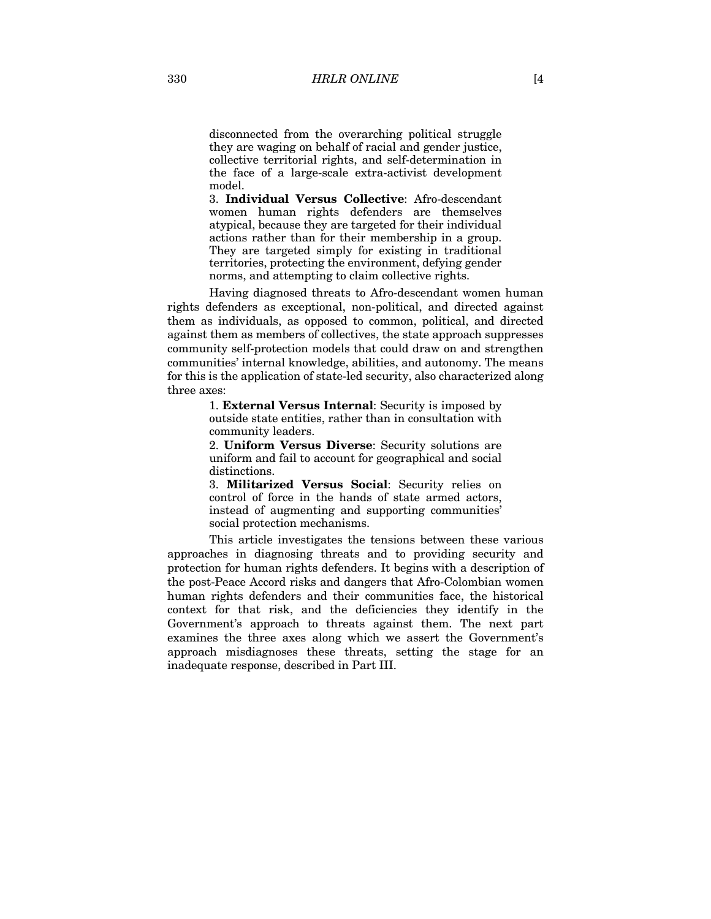disconnected from the overarching political struggle they are waging on behalf of racial and gender justice, collective territorial rights, and self-determination in the face of a large-scale extra-activist development model.

3. **Individual Versus Collective**: Afro-descendant women human rights defenders are themselves atypical, because they are targeted for their individual actions rather than for their membership in a group. They are targeted simply for existing in traditional territories, protecting the environment, defying gender norms, and attempting to claim collective rights.

Having diagnosed threats to Afro-descendant women human rights defenders as exceptional, non-political, and directed against them as individuals, as opposed to common, political, and directed against them as members of collectives, the state approach suppresses community self-protection models that could draw on and strengthen communities' internal knowledge, abilities, and autonomy. The means for this is the application of state-led security, also characterized along three axes:

> 1. **External Versus Internal**: Security is imposed by outside state entities, rather than in consultation with community leaders.

2. **Uniform Versus Diverse**: Security solutions are uniform and fail to account for geographical and social distinctions.

3. **Militarized Versus Social**: Security relies on control of force in the hands of state armed actors, instead of augmenting and supporting communities' social protection mechanisms.

This article investigates the tensions between these various approaches in diagnosing threats and to providing security and protection for human rights defenders. It begins with a description of the post-Peace Accord risks and dangers that Afro-Colombian women human rights defenders and their communities face, the historical context for that risk, and the deficiencies they identify in the Government's approach to threats against them. The next part examines the three axes along which we assert the Government's approach misdiagnoses these threats, setting the stage for an inadequate response, described in Part III.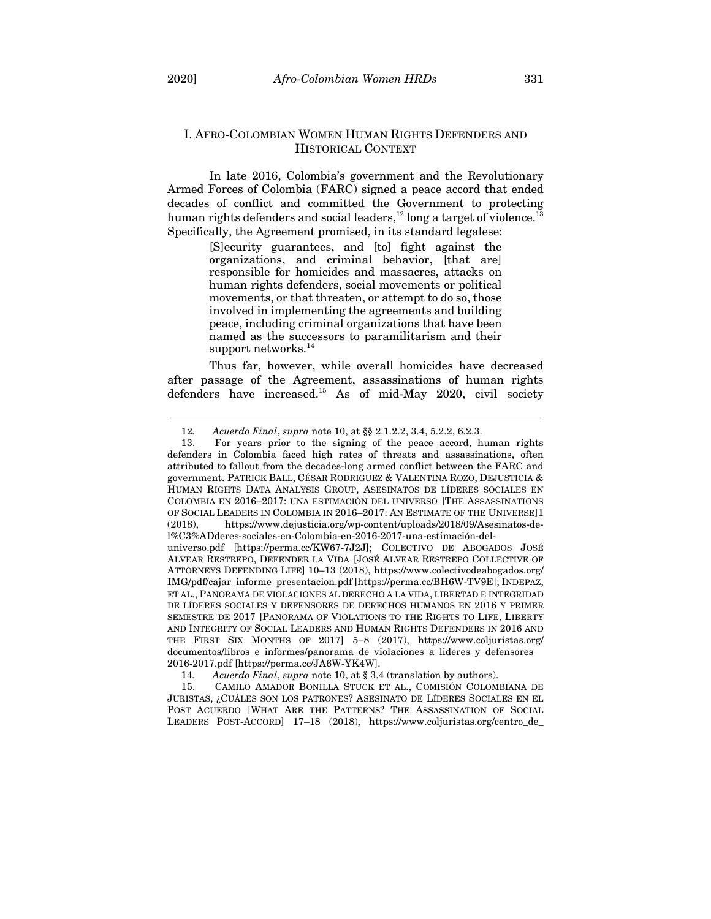#### I. AFRO-COLOMBIAN WOMEN HUMAN RIGHTS DEFENDERS AND HISTORICAL CONTEXT

In late 2016, Colombia's government and the Revolutionary Armed Forces of Colombia (FARC) signed a peace accord that ended decades of conflict and committed the Government to protecting human rights defenders and social leaders,<sup>12</sup> long a target of violence.<sup>13</sup> Specifically, the Agreement promised, in its standard legalese:

> [S]ecurity guarantees, and [to] fight against the organizations, and criminal behavior, [that are] responsible for homicides and massacres, attacks on human rights defenders, social movements or political movements, or that threaten, or attempt to do so, those involved in implementing the agreements and building peace, including criminal organizations that have been named as the successors to paramilitarism and their support networks.<sup>14</sup>

Thus far, however, while overall homicides have decreased after passage of the Agreement, assassinations of human rights defenders have increased.<sup>15</sup> As of mid-May 2020, civil society

<sup>12</sup>*. Acuerdo Final*, *supra* note 10, at §§ 2.1.2.2, 3.4, 5.2.2, 6.2.3.

<sup>13.</sup> For years prior to the signing of the peace accord, human rights defenders in Colombia faced high rates of threats and assassinations, often attributed to fallout from the decades-long armed conflict between the FARC and government. PATRICK BALL, CÉSAR RODRIGUEZ & VALENTINA ROZO, DEJUSTICIA & HUMAN RIGHTS DATA ANALYSIS GROUP, ASESINATOS DE LÍDERES SOCIALES EN COLOMBIA EN 2016–2017: UNA ESTIMACIÓN DEL UNIVERSO [THE ASSASSINATIONS OF SOCIAL LEADERS IN COLOMBIA IN 2016–2017: AN ESTIMATE OF THE UNIVERSE]1 (2018), https://www.dejusticia.org/wp-content/uploads/2018/09/Asesinatos-del%C3%ADderes-sociales-en-Colombia-en-2016-2017-una-estimación-del-

universo.pdf [https://perma.cc/KW67-7J2J]; COLECTIVO DE ABOGADOS JOSÉ ALVEAR RESTREPO, DEFENDER LA VIDA [JOSÉ ALVEAR RESTREPO COLLECTIVE OF ATTORNEYS DEFENDING LIFE] 10–13 (2018), https://www.colectivodeabogados.org/ IMG/pdf/cajar\_informe\_presentacion.pdf [https://perma.cc/BH6W-TV9E]; INDEPAZ, ET AL., PANORAMA DE VIOLACIONES AL DERECHO A LA VIDA, LIBERTAD E INTEGRIDAD DE LÍDERES SOCIALES Y DEFENSORES DE DERECHOS HUMANOS EN 2016 Y PRIMER SEMESTRE DE 2017 [PANORAMA OF VIOLATIONS TO THE RIGHTS TO LIFE, LIBERTY AND INTEGRITY OF SOCIAL LEADERS AND HUMAN RIGHTS DEFENDERS IN 2016 AND THE FIRST SIX MONTHS OF 2017] 5–8 (2017), https://www.coljuristas.org/ documentos/libros\_e\_informes/panorama\_de\_violaciones\_a\_lideres\_y\_defensores\_ 2016-2017.pdf [https://perma.cc/JA6W-YK4W].

<sup>14</sup>*. Acuerdo Final*, *supra* note 10, at § 3.4 (translation by authors).

<sup>15.</sup> CAMILO AMADOR BONILLA STUCK ET AL., COMISIÓN COLOMBIANA DE JURISTAS, ¿CUÁLES SON LOS PATRONES? ASESINATO DE LÍDERES SOCIALES EN EL POST ACUERDO [WHAT ARE THE PATTERNS? THE ASSASSINATION OF SOCIAL LEADERS POST-ACCORD] 17–18 (2018), https://www.coljuristas.org/centro\_de\_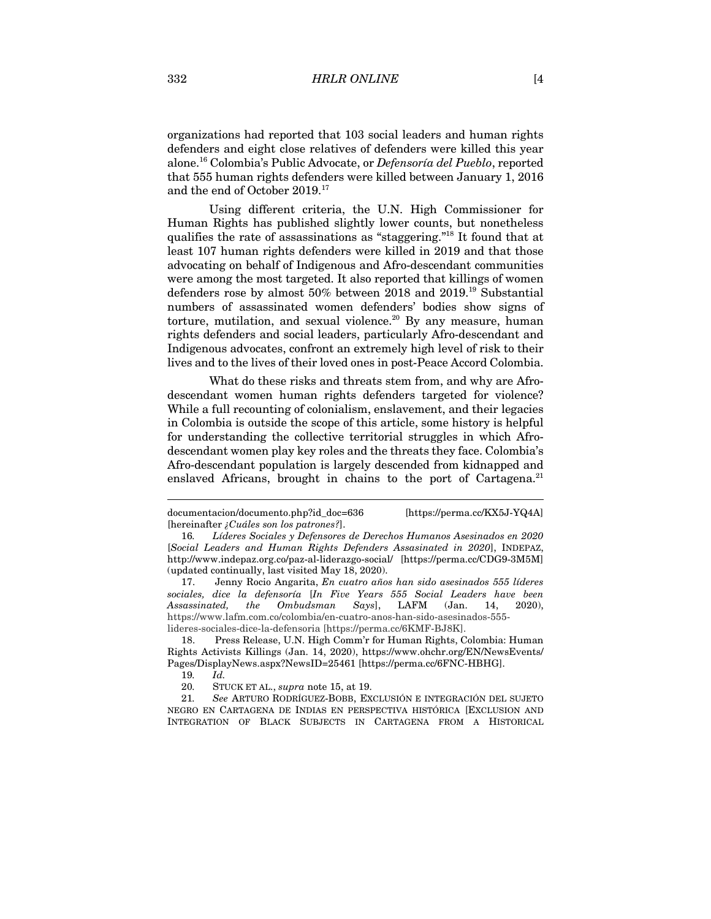organizations had reported that 103 social leaders and human rights defenders and eight close relatives of defenders were killed this year alone.16 Colombia's Public Advocate, or *Defensoría del Pueblo*, reported that 555 human rights defenders were killed between January 1, 2016 and the end of October 2019.17

Using different criteria, the U.N. High Commissioner for Human Rights has published slightly lower counts, but nonetheless qualifies the rate of assassinations as "staggering." <sup>18</sup> It found that at least 107 human rights defenders were killed in 2019 and that those advocating on behalf of Indigenous and Afro-descendant communities were among the most targeted. It also reported that killings of women defenders rose by almost 50% between 2018 and 2019.19 Substantial numbers of assassinated women defenders' bodies show signs of torture, mutilation, and sexual violence.<sup>20</sup> By any measure, human rights defenders and social leaders, particularly Afro-descendant and Indigenous advocates, confront an extremely high level of risk to their lives and to the lives of their loved ones in post-Peace Accord Colombia.

What do these risks and threats stem from, and why are Afrodescendant women human rights defenders targeted for violence? While a full recounting of colonialism, enslavement, and their legacies in Colombia is outside the scope of this article, some history is helpful for understanding the collective territorial struggles in which Afrodescendant women play key roles and the threats they face. Colombia's Afro-descendant population is largely descended from kidnapped and enslaved Africans, brought in chains to the port of Cartagena.<sup>21</sup>

documentacion/documento.php?id\_doc=636 [https://perma.cc/KX5J-YQ4A] [hereinafter *¿Cuáles son los patrones?*].

<sup>16</sup>*. Líderes Sociales y Defensores de Derechos Humanos Asesinados en 2020* [*Social Leaders and Human Rights Defenders Assasinated in 2020*], INDEPAZ, http://www.indepaz.org.co/paz-al-liderazgo-social/ [https://perma.cc/CDG9-3M5M] (updated continually, last visited May 18, 2020).

<sup>17.</sup> Jenny Rocio Angarita, *En cuatro años han sido asesinados 555 líderes sociales, dice la defensoría* [*In Five Years 555 Social Leaders have been Assassinated, the Ombudsman Says*], LAFM (Jan. 14, 2020), https://www.lafm.com.co/colombia/en-cuatro-anos-han-sido-asesinados-555 lideres-sociales-dice-la-defensoria [https://perma.cc/6KMF-BJ8K].

<sup>18.</sup> Press Release, U.N. High Comm'r for Human Rights, Colombia: Human Rights Activists Killings (Jan. 14, 2020), https://www.ohchr.org/EN/NewsEvents/ Pages/DisplayNews.aspx?NewsID=25461 [https://perma.cc/6FNC-HBHG].

<sup>19</sup>*. Id.*

<sup>20</sup>*.* STUCK ET AL., *supra* note 15, at 19.

<sup>21</sup>*. See* ARTURO RODRÍGUEZ-BOBB, EXCLUSIÓN E INTEGRACIÓN DEL SUJETO NEGRO EN CARTAGENA DE INDIAS EN PERSPECTIVA HISTÓRICA [EXCLUSION AND INTEGRATION OF BLACK SUBJECTS IN CARTAGENA FROM A HISTORICAL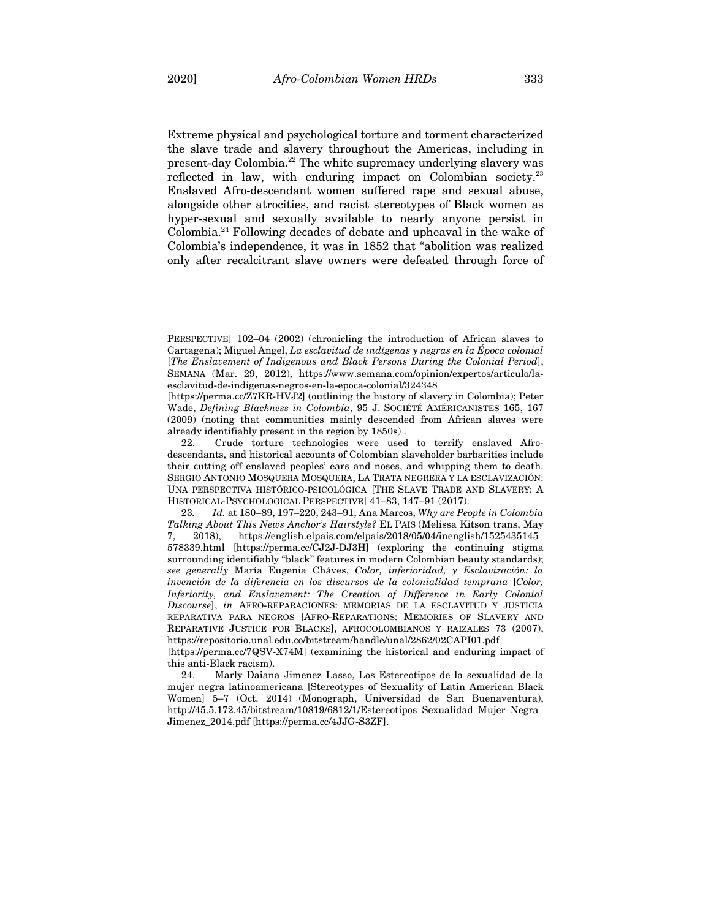Extreme physical and psychological torture and torment characterized the slave trade and slavery throughout the Americas, including in present-day Colombia. <sup>22</sup> The white supremacy underlying slavery was reflected in law, with enduring impact on Colombian society.<sup>23</sup> Enslaved Afro-descendant women suffered rape and sexual abuse, alongside other atrocities, and racist stereotypes of Black women as hyper-sexual and sexually available to nearly anyone persist in Colombia.24 Following decades of debate and upheaval in the wake of Colombia's independence, it was in 1852 that "abolition was realized only after recalcitrant slave owners were defeated through force of

PERSPECTIVE] 102–04 (2002) (chronicling the introduction of African slaves to Cartagena); Miguel Angel, *La esclavitud de indígenas y negras en la Época colonial* [*The Enslavement of Indigenous and Black Persons During the Colonial Period*], SEMANA (Mar. 29, 2012), https://www.semana.com/opinion/expertos/articulo/laesclavitud-de-indigenas-negros-en-la-epoca-colonial/324348

<sup>[</sup>https://perma.cc/Z7KR-HVJ2] (outlining the history of slavery in Colombia); Peter Wade, *Defining Blackness in Colombia*, 95 J. SOCIÉTÉ AMÉRICANISTES 165, 167 (2009) (noting that communities mainly descended from African slaves were already identifiably present in the region by 1850s) .

<sup>22.</sup> Crude torture technologies were used to terrify enslaved Afrodescendants, and historical accounts of Colombian slaveholder barbarities include their cutting off enslaved peoples' ears and noses, and whipping them to death. SERGIO ANTONIO MOSQUERA MOSQUERA, LA TRATA NEGRERA Y LA ESCLAVIZACIÓN: UNA PERSPECTIVA HISTÓRICO-PSICOLÓGICA [THE SLAVE TRADE AND SLAVERY: A HISTORICAL-PSYCHOLOGICAL PERSPECTIVE] 41–83, 147–91 (2017).

<sup>23</sup>*. Id.* at 180–89, 197–220, 243–91; Ana Marcos, *Why are People in Colombia Talking About This News Anchor's Hairstyle?* EL PAIS (Melissa Kitson trans, May 7, 2018), https://english.elpais.com/elpais/2018/05/04/inenglish/1525435145\_ 578339.html [https://perma.cc/CJ2J-DJ3H] (exploring the continuing stigma surrounding identifiably "black" features in modern Colombian beauty standards); *see generally* María Eugenia Cháves, *Color, inferioridad, y Esclavización: la invención de la diferencia en los discursos de la colonialidad temprana* [*Color, Inferiority, and Enslavement: The Creation of Difference in Early Colonial Discourse*], *in* AFRO-REPARACIONES: MEMORIAS DE LA ESCLAVITUD Y JUSTICIA REPARATIVA PARA NEGROS [AFRO-REPARATIONS: MEMORIES OF SLAVERY AND REPARATIVE JUSTICE FOR BLACKS], AFROCOLOMBIANOS Y RAIZALES 73 (2007), https://repositorio.unal.edu.co/bitstream/handle/unal/2862/02CAPI01.pdf

<sup>[</sup>https://perma.cc/7QSV-X74M] (examining the historical and enduring impact of this anti-Black racism).

<sup>24.</sup> Marly Daiana Jimenez Lasso, Los Estereotipos de la sexualidad de la mujer negra latinoamericana [Stereotypes of Sexuality of Latin American Black Women] 5–7 (Oct. 2014) (Monograph, Universidad de San Buenaventura), http://45.5.172.45/bitstream/10819/6812/1/Estereotipos\_Sexualidad\_Mujer\_Negra\_ Jimenez\_2014.pdf [https://perma.cc/4JJG-S3ZF].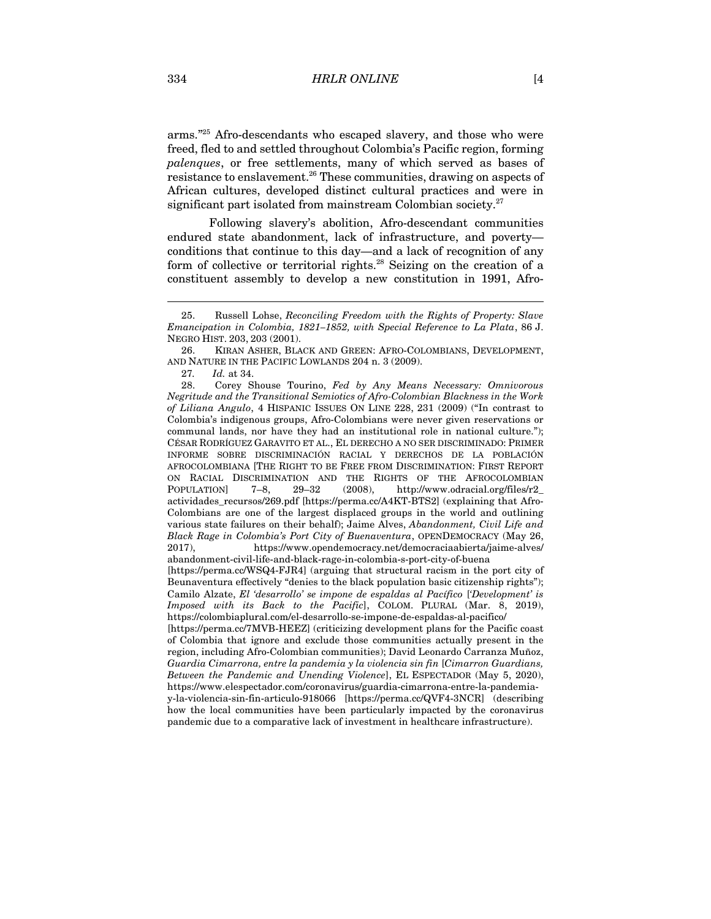arms." <sup>25</sup> Afro-descendants who escaped slavery, and those who were freed, fled to and settled throughout Colombia's Pacific region, forming *palenques*, or free settlements, many of which served as bases of resistance to enslavement.26 These communities, drawing on aspects of African cultures, developed distinct cultural practices and were in significant part isolated from mainstream Colombian society.<sup>27</sup>

Following slavery's abolition, Afro-descendant communities endured state abandonment, lack of infrastructure, and poverty conditions that continue to this day—and a lack of recognition of any form of collective or territorial rights.<sup>28</sup> Seizing on the creation of a constituent assembly to develop a new constitution in 1991, Afro-

28. Corey Shouse Tourino, *Fed by Any Means Necessary: Omnivorous Negritude and the Transitional Semiotics of Afro-Colombian Blackness in the Work of Liliana Angulo*, 4 HISPANIC ISSUES ON LINE 228, 231 (2009) ("In contrast to Colombia's indigenous groups, Afro-Colombians were never given reservations or communal lands, nor have they had an institutional role in national culture."); CÉSAR RODRÍGUEZ GARAVITO ET AL., EL DERECHO A NO SER DISCRIMINADO: PRIMER INFORME SOBRE DISCRIMINACIÓN RACIAL Y DERECHOS DE LA POBLACIÓN AFROCOLOMBIANA [THE RIGHT TO BE FREE FROM DISCRIMINATION: FIRST REPORT ON RACIAL DISCRIMINATION AND THE RIGHTS OF THE AFROCOLOMBIAN POPULATION] 7–8, 29–32 (2008), http://www.odracial.org/files/r2\_ actividades\_recursos/269.pdf [https://perma.cc/A4KT-BTS2] (explaining that Afro-Colombians are one of the largest displaced groups in the world and outlining various state failures on their behalf); Jaime Alves, *Abandonment, Civil Life and Black Rage in Colombia's Port City of Buenaventura*, OPENDEMOCRACY (May 26, 2017), https://www.opendemocracy.net/democraciaabierta/jaime-alves/ abandonment-civil-life-and-black-rage-in-colombia-s-port-city-of-buena [https://perma.cc/WSQ4-FJR4] (arguing that structural racism in the port city of

Beunaventura effectively "denies to the black population basic citizenship rights"); Camilo Alzate, *El 'desarrollo' se impone de espaldas al Pacífico* [*'Development' is Imposed with its Back to the Pacific*], COLOM. PLURAL (Mar. 8, 2019), https://colombiaplural.com/el-desarrollo-se-impone-de-espaldas-al-pacifico/

[https://perma.cc/7MVB-HEEZ] (criticizing development plans for the Pacific coast of Colombia that ignore and exclude those communities actually present in the region, including Afro-Colombian communities); David Leonardo Carranza Muñoz, *Guardia Cimarrona, entre la pandemia y la violencia sin fin* [*Cimarron Guardians, Between the Pandemic and Unending Violence*], EL ESPECTADOR (May 5, 2020), https://www.elespectador.com/coronavirus/guardia-cimarrona-entre-la-pandemiay-la-violencia-sin-fin-articulo-918066 [https://perma.cc/QVF4-3NCR] (describing how the local communities have been particularly impacted by the coronavirus pandemic due to a comparative lack of investment in healthcare infrastructure).

<sup>25.</sup> Russell Lohse, *Reconciling Freedom with the Rights of Property: Slave Emancipation in Colombia, 1821–1852, with Special Reference to La Plata*, 86 J. NEGRO HIST. 203, 203 (2001).

<sup>26.</sup> KIRAN ASHER, BLACK AND GREEN: AFRO-COLOMBIANS, DEVELOPMENT, AND NATURE IN THE PACIFIC LOWLANDS 204 n. 3 (2009).

<sup>27</sup>*. Id.* at 34.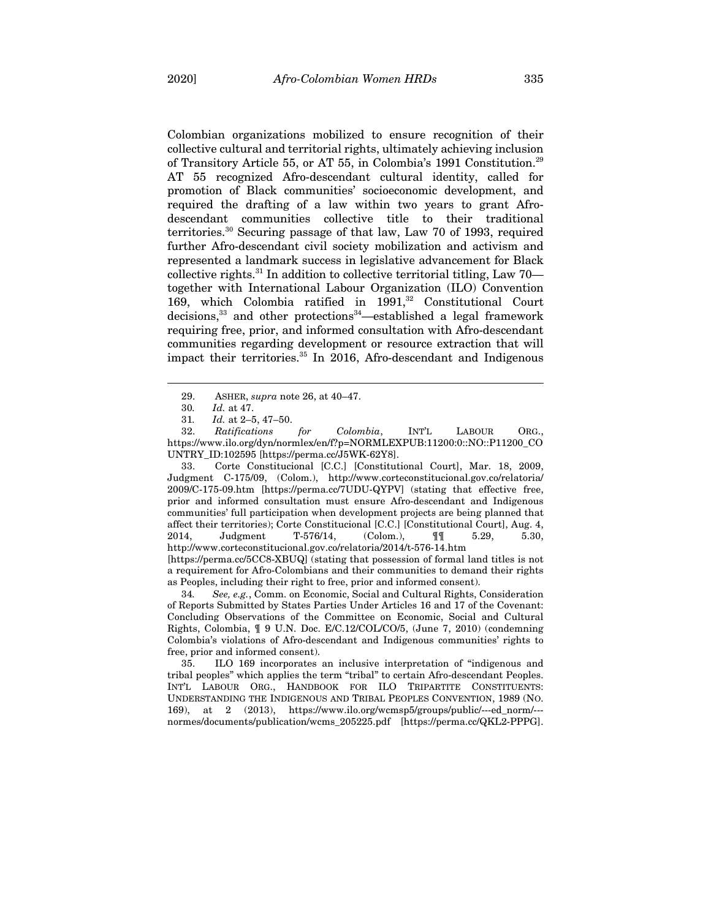Colombian organizations mobilized to ensure recognition of their collective cultural and territorial rights, ultimately achieving inclusion of Transitory Article 55, or AT 55, in Colombia's 1991 Constitution.29 AT 55 recognized Afro-descendant cultural identity, called for promotion of Black communities' socioeconomic development, and required the drafting of a law within two years to grant Afrodescendant communities collective title to their traditional territories.30 Securing passage of that law, Law 70 of 1993, required further Afro-descendant civil society mobilization and activism and represented a landmark success in legislative advancement for Black collective rights.31 In addition to collective territorial titling, Law 70 together with International Labour Organization (ILO) Convention 169, which Colombia ratified in 1991,<sup>32</sup> Constitutional Court decisions,<sup>33</sup> and other protections<sup>34</sup>—established a legal framework requiring free, prior, and informed consultation with Afro-descendant communities regarding development or resource extraction that will impact their territories. <sup>35</sup> In 2016, Afro-descendant and Indigenous

33. Corte Constitucional [C.C.] [Constitutional Court], Mar. 18, 2009, Judgment C-175/09, (Colom.), http://www.corteconstitucional.gov.co/relatoria/ 2009/C-175-09.htm [https://perma.cc/7UDU-QYPV] (stating that effective free, prior and informed consultation must ensure Afro-descendant and Indigenous communities' full participation when development projects are being planned that affect their territories); Corte Constitucional [C.C.] [Constitutional Court], Aug. 4, 2014, Judgment T-576/14, (Colom.), ¶¶ 5.29, 5.30, http://www.corteconstitucional.gov.co/relatoria/2014/t-576-14.htm [https://perma.cc/5CC8-XBUQ] (stating that possession of formal land titles is not

34*. See, e.g.*, Comm. on Economic, Social and Cultural Rights, Consideration of Reports Submitted by States Parties Under Articles 16 and 17 of the Covenant: Concluding Observations of the Committee on Economic, Social and Cultural Rights, Colombia, ¶ 9 U.N. Doc. E/C.12/COL/CO/5, (June 7, 2010) (condemning Colombia's violations of Afro-descendant and Indigenous communities' rights to free, prior and informed consent).

35. ILO 169 incorporates an inclusive interpretation of "indigenous and tribal peoples" which applies the term "tribal" to certain Afro-descendant Peoples. INT'L LABOUR ORG., HANDBOOK FOR ILO TRIPARTITE CONSTITUENTS: UNDERSTANDING THE INDIGENOUS AND TRIBAL PEOPLES CONVENTION, 1989 (NO. 169), at 2 (2013), https://www.ilo.org/wcmsp5/groups/public/---ed\_norm/-- normes/documents/publication/wcms\_205225.pdf [https://perma.cc/QKL2-PPPG].

<sup>29.</sup> ASHER, *supra* note 26, at 40–47.

<sup>30</sup>*. Id.* at 47.

<sup>31</sup>*. Id.* at 2–5, 47–50.

<sup>32.</sup> *Ratifications for Colombia*, INT'L LABOUR ORG., https://www.ilo.org/dyn/normlex/en/f?p=NORMLEXPUB:11200:0::NO::P11200\_CO UNTRY\_ID:102595 [https://perma.cc/J5WK-62Y8].

a requirement for Afro-Colombians and their communities to demand their rights as Peoples, including their right to free, prior and informed consent).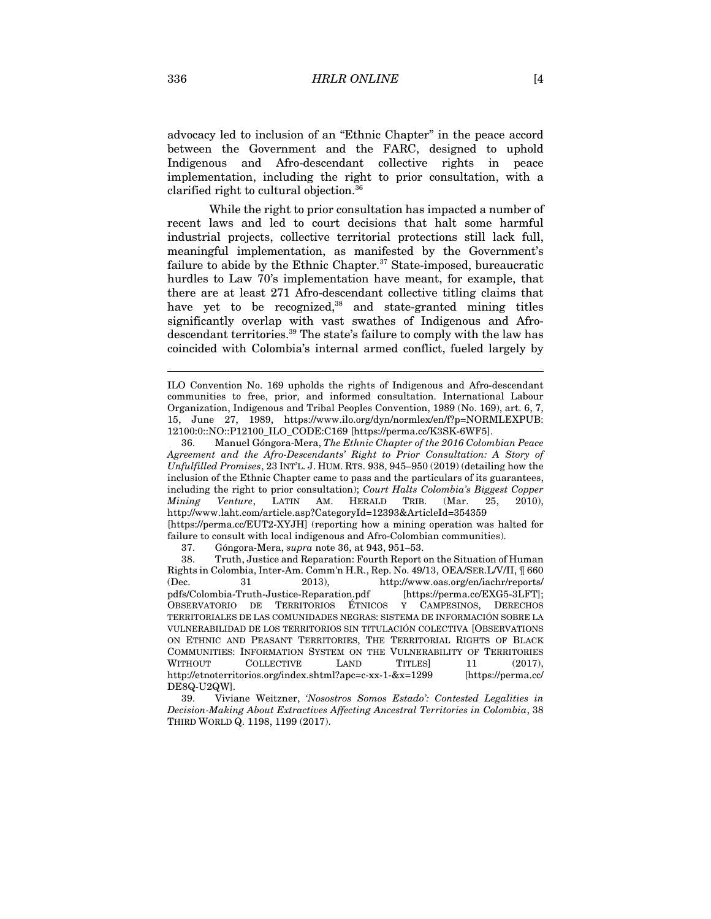advocacy led to inclusion of an "Ethnic Chapter" in the peace accord between the Government and the FARC, designed to uphold Indigenous and Afro-descendant collective rights in peace implementation, including the right to prior consultation, with a clarified right to cultural objection.36

While the right to prior consultation has impacted a number of recent laws and led to court decisions that halt some harmful industrial projects, collective territorial protections still lack full, meaningful implementation, as manifested by the Government's failure to abide by the Ethnic Chapter.<sup>37</sup> State-imposed, bureaucratic hurdles to Law 70's implementation have meant, for example, that there are at least 271 Afro-descendant collective titling claims that have yet to be recognized,<sup>38</sup> and state-granted mining titles significantly overlap with vast swathes of Indigenous and Afrodescendant territories.39 The state's failure to comply with the law has coincided with Colombia's internal armed conflict, fueled largely by

ILO Convention No. 169 upholds the rights of Indigenous and Afro-descendant communities to free, prior, and informed consultation. International Labour Organization, Indigenous and Tribal Peoples Convention, 1989 (No. 169), art. 6, 7, 15, June 27, 1989, https://www.ilo.org/dyn/normlex/en/f?p=NORMLEXPUB: 12100:0::NO::P12100\_ILO\_CODE:C169 [https://perma.cc/K3SK-6WF5].

<sup>36.</sup> Manuel Góngora-Mera, *The Ethnic Chapter of the 2016 Colombian Peace Agreement and the Afro-Descendants' Right to Prior Consultation: A Story of Unfulfilled Promises*, 23 INT'L. J. HUM. RTS. 938, 945–950 (2019) (detailing how the inclusion of the Ethnic Chapter came to pass and the particulars of its guarantees, including the right to prior consultation); *Court Halts Colombia's Biggest Copper Mining Venture*, LATIN AM. HERALD TRIB. (Mar. 25, 2010), http://www.laht.com/article.asp?CategoryId=12393&ArticleId=354359 [https://perma.cc/EUT2-XYJH] (reporting how a mining operation was halted for failure to consult with local indigenous and Afro-Colombian communities).

<sup>37.</sup> Góngora-Mera, *supra* note 36, at 943, 951–53.

<sup>38.</sup> Truth, Justice and Reparation: Fourth Report on the Situation of Human Rights in Colombia, Inter-Am. Comm'n H.R., Rep. No. 49/13, OEA/SER.L/V/II, ¶ 660 (Dec. 31 2013), http://www.oas.org/en/iachr/reports/ pdfs/Colombia-Truth-Justice-Reparation.pdf [https://perma.cc/EXG5-3LFT]; OBSERVATORIO DE TERRITORIOS ÉTNICOS Y CAMPESINOS, DERECHOS TERRITORIALES DE LAS COMUNIDADES NEGRAS: SISTEMA DE INFORMACIÓN SOBRE LA VULNERABILIDAD DE LOS TERRITORIOS SIN TITULACIÓN COLECTIVA [OBSERVATIONS ON ETHNIC AND PEASANT TERRITORIES, THE TERRITORIAL RIGHTS OF BLACK COMMUNITIES: INFORMATION SYSTEM ON THE VULNERABILITY OF TERRITORIES WITHOUT COLLECTIVE LAND TITLES 11 (2017), http://etnoterritorios.org/index.shtml?apc=c-xx-1-&x=1299 [https://perma.cc/ DE8Q-U2QW].

<sup>39.</sup> Viviane Weitzner, *'Nosostros Somos Estado': Contested Legalities in Decision-Making About Extractives Affecting Ancestral Territories in Colombia*, 38 THIRD WORLD Q. 1198, 1199 (2017).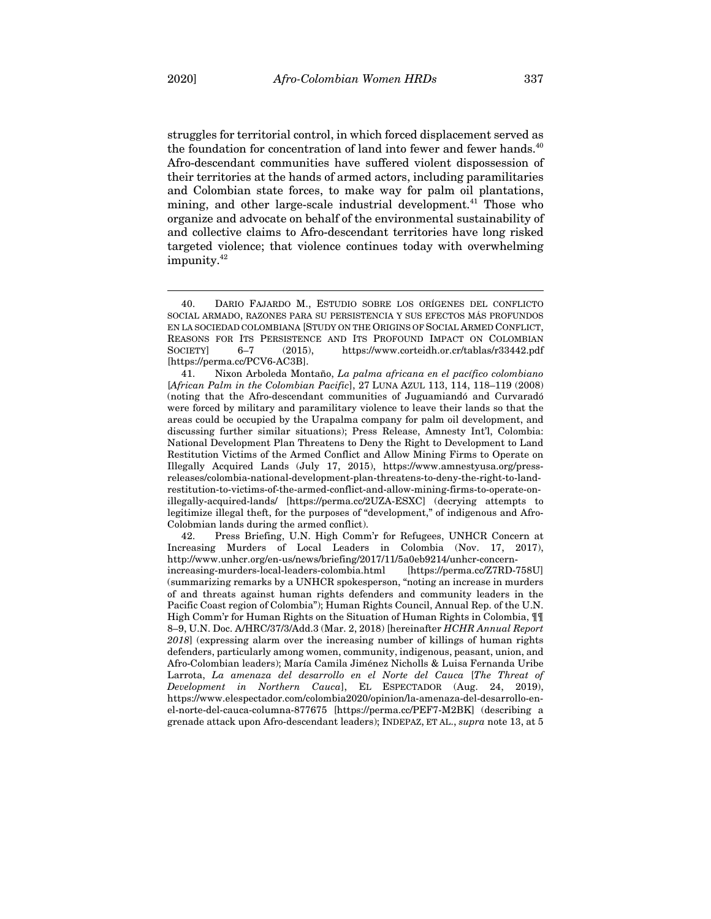struggles for territorial control, in which forced displacement served as the foundation for concentration of land into fewer and fewer hands.<sup>40</sup> Afro-descendant communities have suffered violent dispossession of their territories at the hands of armed actors, including paramilitaries and Colombian state forces, to make way for palm oil plantations, mining, and other large-scale industrial development.<sup>41</sup> Those who organize and advocate on behalf of the environmental sustainability of and collective claims to Afro-descendant territories have long risked targeted violence; that violence continues today with overwhelming impunity. 42

41. Nixon Arboleda Montaño, *La palma africana en el pacífico colombiano*  [*African Palm in the Colombian Pacific*], 27 LUNA AZUL 113, 114, 118–119 (2008) (noting that the Afro-descendant communities of Juguamiandó and Curvaradó were forced by military and paramilitary violence to leave their lands so that the areas could be occupied by the Urapalma company for palm oil development, and discussing further similar situations); Press Release, Amnesty Int'l, Colombia: National Development Plan Threatens to Deny the Right to Development to Land Restitution Victims of the Armed Conflict and Allow Mining Firms to Operate on Illegally Acquired Lands (July 17, 2015), https://www.amnestyusa.org/pressreleases/colombia-national-development-plan-threatens-to-deny-the-right-to-landrestitution-to-victims-of-the-armed-conflict-and-allow-mining-firms-to-operate-onillegally-acquired-lands/ [https://perma.cc/2UZA-ESXC] (decrying attempts to legitimize illegal theft, for the purposes of "development," of indigenous and Afro-Colobmian lands during the armed conflict).

42. Press Briefing, U.N. High Comm'r for Refugees, UNHCR Concern at Increasing Murders of Local Leaders in Colombia (Nov. 17, 2017), http://www.unhcr.org/en-us/news/briefing/2017/11/5a0eb9214/unhcr-concernincreasing-murders-local-leaders-colombia.html [https://perma.cc/Z7RD-758U] (summarizing remarks by a UNHCR spokesperson, "noting an increase in murders of and threats against human rights defenders and community leaders in the Pacific Coast region of Colombia"); Human Rights Council, Annual Rep. of the U.N. High Comm'r for Human Rights on the Situation of Human Rights in Colombia, ¶¶ 8–9, U.N. Doc. A/HRC/37/3/Add.3 (Mar. 2, 2018) [hereinafter *HCHR Annual Report 2018*] (expressing alarm over the increasing number of killings of human rights defenders, particularly among women, community, indigenous, peasant, union, and Afro-Colombian leaders); María Camila Jiménez Nicholls & Luisa Fernanda Uribe Larrota, *La amenaza del desarrollo en el Norte del Cauca* [*The Threat of Development in Northern Cauca*], EL ESPECTADOR (Aug. 24, 2019), https://www.elespectador.com/colombia2020/opinion/la-amenaza-del-desarrollo-enel-norte-del-cauca-columna-877675 [https://perma.cc/PEF7-M2BK] (describing a grenade attack upon Afro-descendant leaders); INDEPAZ, ET AL., *supra* note 13, at 5

<sup>40.</sup> DARIO FAJARDO M., ESTUDIO SOBRE LOS ORÍGENES DEL CONFLICTO SOCIAL ARMADO, RAZONES PARA SU PERSISTENCIA Y SUS EFECTOS MÁS PROFUNDOS EN LA SOCIEDAD COLOMBIANA [STUDY ON THE ORIGINS OF SOCIAL ARMED CONFLICT, REASONS FOR ITS PERSISTENCE AND ITS PROFOUND IMPACT ON COLOMBIAN SOCIETY] 6-7 (2015), https://www.corteidh.or.cr/tablas/r33442.pdf [https://perma.cc/PCV6-AC3B].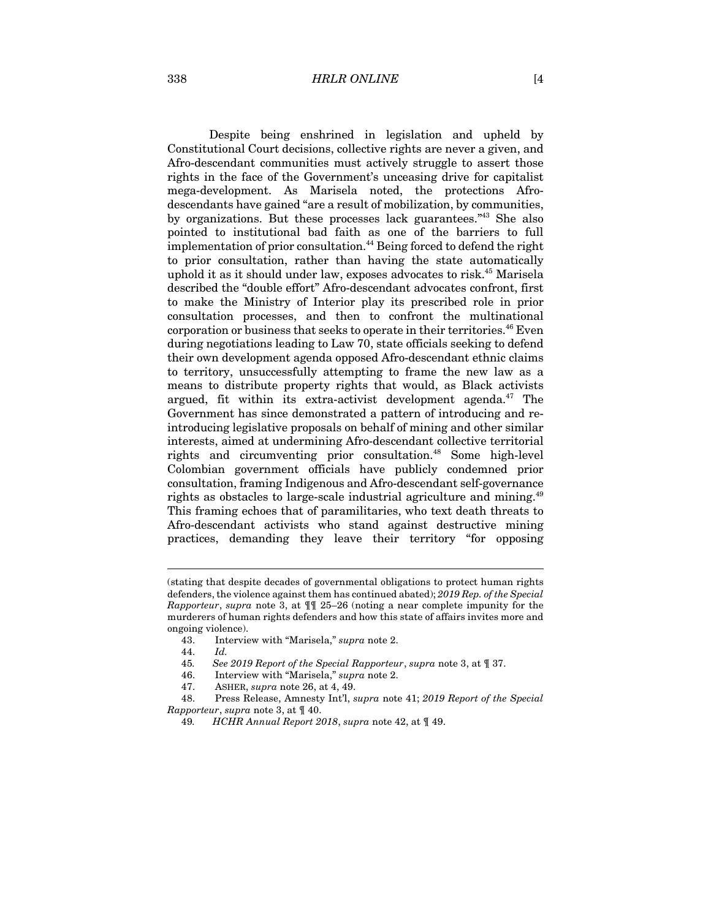338 *HRLR ONLINE* [4

Despite being enshrined in legislation and upheld by Constitutional Court decisions, collective rights are never a given, and Afro-descendant communities must actively struggle to assert those rights in the face of the Government's unceasing drive for capitalist mega-development. As Marisela noted, the protections Afrodescendants have gained "are a result of mobilization, by communities, by organizations. But these processes lack guarantees.<sup>"43</sup> She also pointed to institutional bad faith as one of the barriers to full implementation of prior consultation. <sup>44</sup> Being forced to defend the right to prior consultation, rather than having the state automatically uphold it as it should under law, exposes advocates to risk.45 Marisela described the "double effort" Afro-descendant advocates confront, first to make the Ministry of Interior play its prescribed role in prior consultation processes, and then to confront the multinational corporation or business that seeks to operate in their territories.<sup>46</sup> Even during negotiations leading to Law 70, state officials seeking to defend their own development agenda opposed Afro-descendant ethnic claims to territory, unsuccessfully attempting to frame the new law as a means to distribute property rights that would, as Black activists argued, fit within its extra-activist development agenda. $47$  The Government has since demonstrated a pattern of introducing and reintroducing legislative proposals on behalf of mining and other similar interests, aimed at undermining Afro-descendant collective territorial rights and circumventing prior consultation.<sup>48</sup> Some high-level Colombian government officials have publicly condemned prior consultation, framing Indigenous and Afro-descendant self-governance rights as obstacles to large-scale industrial agriculture and mining.<sup>49</sup> This framing echoes that of paramilitaries, who text death threats to Afro-descendant activists who stand against destructive mining practices, demanding they leave their territory "for opposing

<sup>(</sup>stating that despite decades of governmental obligations to protect human rights defenders, the violence against them has continued abated); *2019 Rep. of the Special Rapporteur*, *supra* note 3, at ¶¶ 25–26 (noting a near complete impunity for the murderers of human rights defenders and how this state of affairs invites more and ongoing violence).

<sup>43.</sup> Interview with "Marisela," *supra* note 2.

<sup>44.</sup> *Id.*

<sup>45</sup>*. See 2019 Report of the Special Rapporteur*, *supra* note 3, at ¶ 37.

<sup>46.</sup> Interview with "Marisela," *supra* note 2.

<sup>47.</sup> ASHER, *supra* note 26, at 4, 49.

<sup>48.</sup> Press Release, Amnesty Int'l, *supra* note 41; *2019 Report of the Special Rapporteur*, *supra* note 3, at ¶ 40.

<sup>49</sup>*. HCHR Annual Report 2018*, *supra* note 42, at ¶ 49.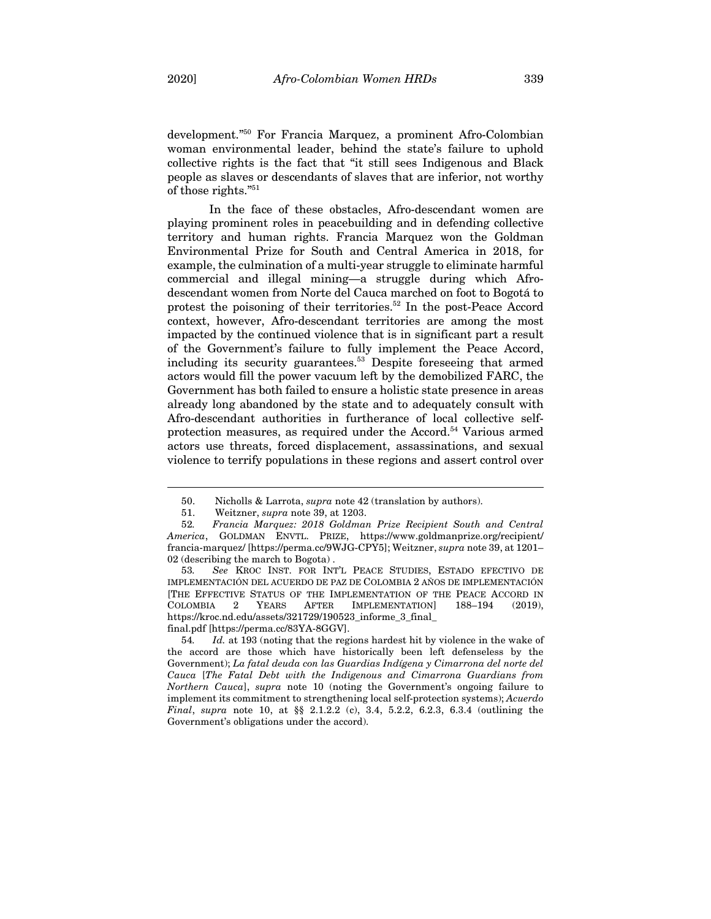development." <sup>50</sup> For Francia Marquez, a prominent Afro-Colombian woman environmental leader, behind the state's failure to uphold collective rights is the fact that "it still sees Indigenous and Black people as slaves or descendants of slaves that are inferior, not worthy of those rights."<sup>51</sup>

In the face of these obstacles, Afro-descendant women are playing prominent roles in peacebuilding and in defending collective territory and human rights. Francia Marquez won the Goldman Environmental Prize for South and Central America in 2018, for example, the culmination of a multi-year struggle to eliminate harmful commercial and illegal mining—a struggle during which Afrodescendant women from Norte del Cauca marched on foot to Bogotá to protest the poisoning of their territories. <sup>52</sup> In the post-Peace Accord context, however, Afro-descendant territories are among the most impacted by the continued violence that is in significant part a result of the Government's failure to fully implement the Peace Accord, including its security guarantees. <sup>53</sup> Despite foreseeing that armed actors would fill the power vacuum left by the demobilized FARC, the Government has both failed to ensure a holistic state presence in areas already long abandoned by the state and to adequately consult with Afro-descendant authorities in furtherance of local collective selfprotection measures, as required under the Accord. <sup>54</sup> Various armed actors use threats, forced displacement, assassinations, and sexual violence to terrify populations in these regions and assert control over

<sup>50.</sup> Nicholls & Larrota, *supra* note 42 (translation by authors).

<sup>51.</sup> Weitzner, *supra* note 39, at 1203.

<sup>52</sup>*. Francia Marquez: 2018 Goldman Prize Recipient South and Central America*, GOLDMAN ENVTL. PRIZE, https://www.goldmanprize.org/recipient/ francia-marquez/ [https://perma.cc/9WJG-CPY5]; Weitzner, *supra* note 39, at 1201– 02 (describing the march to Bogota) .

<sup>53</sup>*. See* KROC INST. FOR INT'L PEACE STUDIES, ESTADO EFECTIVO DE IMPLEMENTACIÓN DEL ACUERDO DE PAZ DE COLOMBIA 2 AÑOS DE IMPLEMENTACIÓN [THE EFFECTIVE STATUS OF THE IMPLEMENTATION OF THE PEACE ACCORD IN COLOMBIA 2 YEARS AFTER IMPLEMENTATION] 188–194 (2019), https://kroc.nd.edu/assets/321729/190523\_informe\_3\_final\_ final.pdf [https://perma.cc/83YA-8GGV].

<sup>54</sup>*. Id.* at 193 (noting that the regions hardest hit by violence in the wake of the accord are those which have historically been left defenseless by the Government); *La fatal deuda con las Guardias Indígena y Cimarrona del norte del Cauca* [*The Fatal Debt with the Indigenous and Cimarrona Guardians from Northern Cauca*], *supra* note 10 (noting the Government's ongoing failure to implement its commitment to strengthening local self-protection systems); *Acuerdo Final*, *supra* note 10, at §§ 2.1.2.2 (c), 3.4, 5.2.2, 6.2.3, 6.3.4 (outlining the Government's obligations under the accord).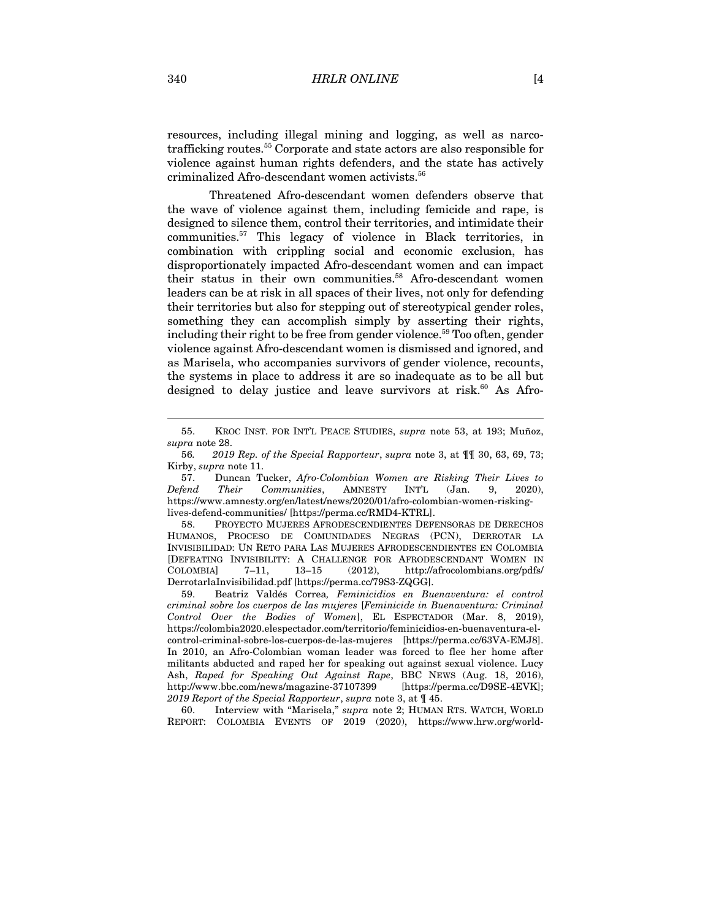resources, including illegal mining and logging, as well as narcotrafficking routes. <sup>55</sup> Corporate and state actors are also responsible for violence against human rights defenders, and the state has actively criminalized Afro-descendant women activists. 56

Threatened Afro-descendant women defenders observe that the wave of violence against them, including femicide and rape, is designed to silence them, control their territories, and intimidate their communities.57 This legacy of violence in Black territories, in combination with crippling social and economic exclusion, has disproportionately impacted Afro-descendant women and can impact their status in their own communities. <sup>58</sup> Afro-descendant women leaders can be at risk in all spaces of their lives, not only for defending their territories but also for stepping out of stereotypical gender roles, something they can accomplish simply by asserting their rights, including their right to be free from gender violence.<sup>59</sup> Too often, gender violence against Afro-descendant women is dismissed and ignored, and as Marisela, who accompanies survivors of gender violence, recounts, the systems in place to address it are so inadequate as to be all but designed to delay justice and leave survivors at risk.<sup>60</sup> As Afro-

<sup>55.</sup> KROC INST. FOR INT'L PEACE STUDIES, *supra* note 53, at 193; Muñoz, *supra* note 28.

<sup>56</sup>*. 2019 Rep. of the Special Rapporteur*, *supra* note 3, at ¶¶ 30, 63, 69, 73; Kirby, *supra* note 11.

<sup>57.</sup> Duncan Tucker, *Afro-Colombian Women are Risking Their Lives to Defend Their Communities*, AMNESTY INT'L (Jan. 9, 2020), https://www.amnesty.org/en/latest/news/2020/01/afro-colombian-women-riskinglives-defend-communities/ [https://perma.cc/RMD4-KTRL].

<sup>58.</sup> PROYECTO MUJERES AFRODESCENDIENTES DEFENSORAS DE DERECHOS HUMANOS, PROCESO DE COMUNIDADES NEGRAS (PCN), DERROTAR LA INVISIBILIDAD: UN RETO PARA LAS MUJERES AFRODESCENDIENTES EN COLOMBIA [DEFEATING INVISIBILITY: A CHALLENGE FOR AFRODESCENDANT WOMEN IN COLOMBIA] 7–11, 13–15 (2012), http://afrocolombians.org/pdfs/ DerrotarlaInvisibilidad.pdf [https://perma.cc/79S3-ZQGG].

<sup>59.</sup> Beatriz Valdés Correa*, Feminicidios en Buenaventura: el control criminal sobre los cuerpos de las mujeres* [*Feminicide in Buenaventura: Criminal Control Over the Bodies of Women*], EL ESPECTADOR (Mar. 8, 2019), https://colombia2020.elespectador.com/territorio/feminicidios-en-buenaventura-elcontrol-criminal-sobre-los-cuerpos-de-las-mujeres [https://perma.cc/63VA-EMJ8]. In 2010, an Afro-Colombian woman leader was forced to flee her home after militants abducted and raped her for speaking out against sexual violence. Lucy Ash, *Raped for Speaking Out Against Rape*, BBC NEWS (Aug. 18, 2016), http://www.bbc.com/news/magazine-37107399 [https://perma.cc/D9SE-4EVK]; *2019 Report of the Special Rapporteur*, *supra* note 3, at ¶ 45.

<sup>60.</sup> Interview with "Marisela," *supra* note 2; HUMAN RTS. WATCH, WORLD REPORT: COLOMBIA EVENTS OF 2019 (2020), https://www.hrw.org/world-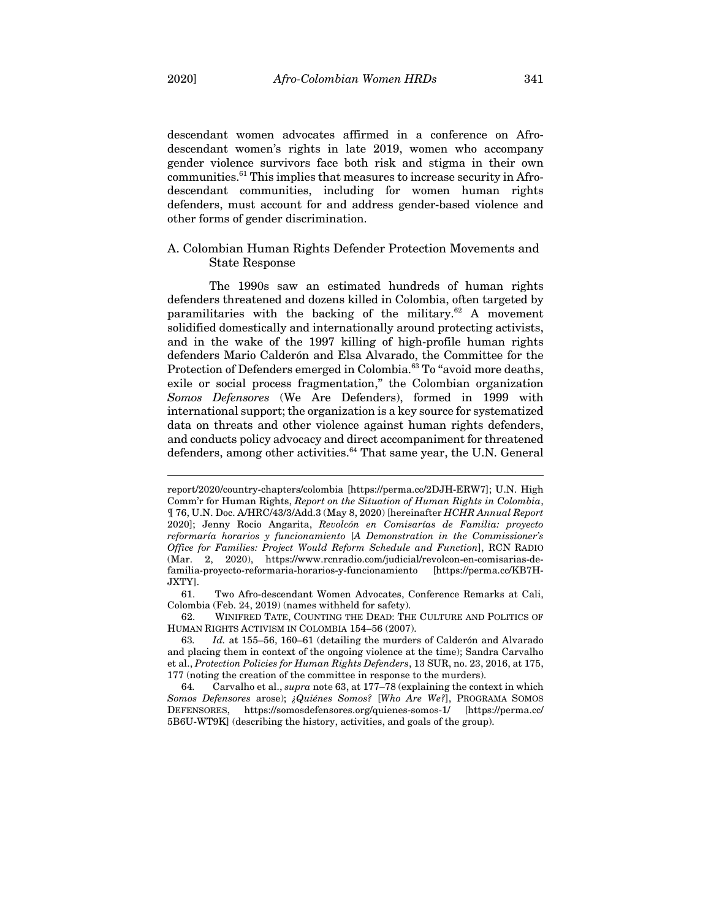descendant women advocates affirmed in a conference on Afrodescendant women's rights in late 2019, women who accompany gender violence survivors face both risk and stigma in their own communities.61 This implies that measures to increase security in Afrodescendant communities, including for women human rights defenders, must account for and address gender-based violence and other forms of gender discrimination.

### A. Colombian Human Rights Defender Protection Movements and State Response

The 1990s saw an estimated hundreds of human rights defenders threatened and dozens killed in Colombia, often targeted by paramilitaries with the backing of the military. $62$  A movement solidified domestically and internationally around protecting activists, and in the wake of the 1997 killing of high-profile human rights defenders Mario Calderón and Elsa Alvarado, the Committee for the Protection of Defenders emerged in Colombia.<sup>63</sup> To "avoid more deaths, exile or social process fragmentation," the Colombian organization *Somos Defensores* (We Are Defenders), formed in 1999 with international support; the organization is a key source for systematized data on threats and other violence against human rights defenders, and conducts policy advocacy and direct accompaniment for threatened defenders, among other activities. <sup>64</sup> That same year, the U.N. General

report/2020/country-chapters/colombia [https://perma.cc/2DJH-ERW7]; U.N. High Comm'r for Human Rights, *Report on the Situation of Human Rights in Colombia*, ¶ 76, U.N. Doc. A/HRC/43/3/Add.3 (May 8, 2020) [hereinafter *HCHR Annual Report*  2020]; Jenny Rocio Angarita, *Revolcón en Comisarías de Familia: proyecto reformaría horarios y funcionamiento* [*A Demonstration in the Commissioner's Office for Families: Project Would Reform Schedule and Function*], RCN RADIO (Mar. 2, 2020), https://www.rcnradio.com/judicial/revolcon-en-comisarias-defamilia-proyecto-reformaria-horarios-y-funcionamiento [https://perma.cc/KB7H-JXTY].

<sup>61.</sup> Two Afro-descendant Women Advocates, Conference Remarks at Cali, Colombia (Feb. 24, 2019) (names withheld for safety).

<sup>62.</sup> WINIFRED TATE, COUNTING THE DEAD: THE CULTURE AND POLITICS OF HUMAN RIGHTS ACTIVISM IN COLOMBIA 154–56 (2007).

<sup>63</sup>*. Id.* at 155–56, 160–61 (detailing the murders of Calderón and Alvarado and placing them in context of the ongoing violence at the time); Sandra Carvalho et al., *Protection Policies for Human Rights Defenders*, 13 SUR, no. 23, 2016, at 175, 177 (noting the creation of the committee in response to the murders).

<sup>64</sup>*.* Carvalho et al., *supra* note 63, at 177–78 (explaining the context in which *Somos Defensores* arose); *¿Quiénes Somos?* [*Who Are We?*], PROGRAMA SOMOS DEFENSORES, https://somosdefensores.org/quienes-somos-1/ [https://perma.cc/ 5B6U-WT9K] (describing the history, activities, and goals of the group).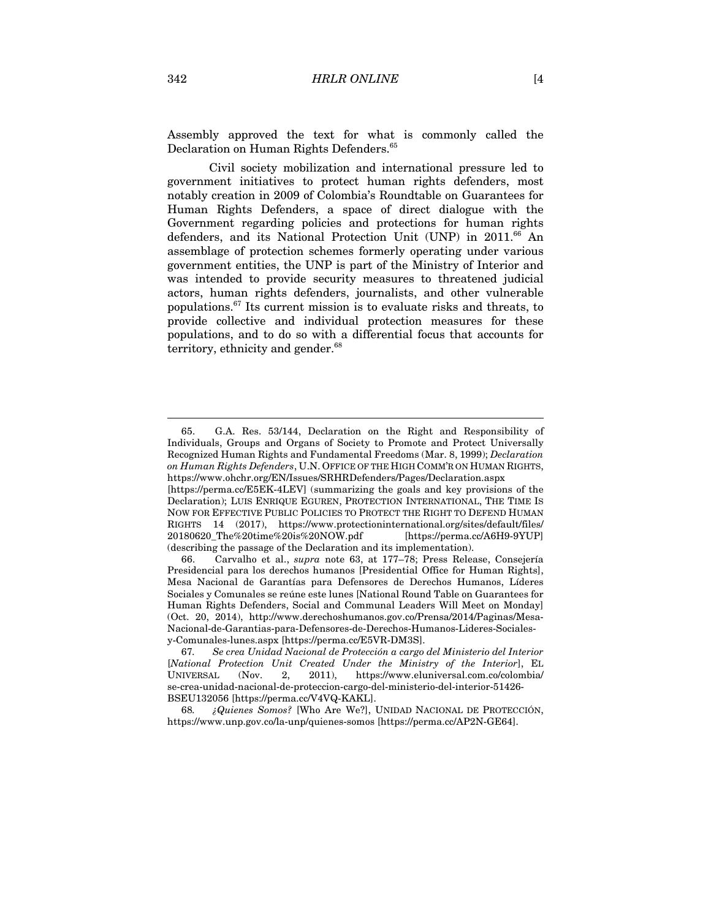Assembly approved the text for what is commonly called the Declaration on Human Rights Defenders.<sup>65</sup>

Civil society mobilization and international pressure led to government initiatives to protect human rights defenders, most notably creation in 2009 of Colombia's Roundtable on Guarantees for Human Rights Defenders, a space of direct dialogue with the Government regarding policies and protections for human rights defenders, and its National Protection Unit (UNP) in 2011.<sup>66</sup> An assemblage of protection schemes formerly operating under various government entities, the UNP is part of the Ministry of Interior and was intended to provide security measures to threatened judicial actors, human rights defenders, journalists, and other vulnerable populations.67 Its current mission is to evaluate risks and threats, to provide collective and individual protection measures for these populations, and to do so with a differential focus that accounts for territory, ethnicity and gender.<sup>68</sup>

<sup>65.</sup> G.A. Res. 53/144, Declaration on the Right and Responsibility of Individuals, Groups and Organs of Society to Promote and Protect Universally Recognized Human Rights and Fundamental Freedoms (Mar. 8, 1999); *Declaration on Human Rights Defenders*, U.N. OFFICE OF THE HIGH COMM'R ON HUMAN RIGHTS, https://www.ohchr.org/EN/Issues/SRHRDefenders/Pages/Declaration.aspx

<sup>[</sup>https://perma.cc/E5EK-4LEV] (summarizing the goals and key provisions of the Declaration); LUIS ENRIQUE EGUREN, PROTECTION INTERNATIONAL, THE TIME IS NOW FOR EFFECTIVE PUBLIC POLICIES TO PROTECT THE RIGHT TO DEFEND HUMAN RIGHTS 14 (2017), https://www.protectioninternational.org/sites/default/files/ 20180620\_The%20time%20is%20NOW.pdf [https://perma.cc/A6H9-9YUP] (describing the passage of the Declaration and its implementation).

<sup>66.</sup> Carvalho et al., *supra* note 63, at 177–78; Press Release, Consejería Presidencial para los derechos humanos [Presidential Office for Human Rights], Mesa Nacional de Garantías para Defensores de Derechos Humanos, Líderes Sociales y Comunales se reúne este lunes [National Round Table on Guarantees for Human Rights Defenders, Social and Communal Leaders Will Meet on Monday] (Oct. 20, 2014), http://www.derechoshumanos.gov.co/Prensa/2014/Paginas/Mesa-Nacional-de-Garantias-para-Defensores-de-Derechos-Humanos-Lideres-Socialesy-Comunales-lunes.aspx [https://perma.cc/E5VR-DM3S].

<sup>67</sup>*. Se crea Unidad Nacional de Protección a cargo del Ministerio del Interior* [*National Protection Unit Created Under the Ministry of the Interior*], EL UNIVERSAL (Nov. 2, 2011), https://www.eluniversal.com.co/colombia/ se-crea-unidad-nacional-de-proteccion-cargo-del-ministerio-del-interior-51426- BSEU132056 [https://perma.cc/V4VQ-KAKL].

<sup>68</sup>*. ¿Quienes Somos?* [Who Are We?], UNIDAD NACIONAL DE PROTECCIÓN, https://www.unp.gov.co/la-unp/quienes-somos [https://perma.cc/AP2N-GE64].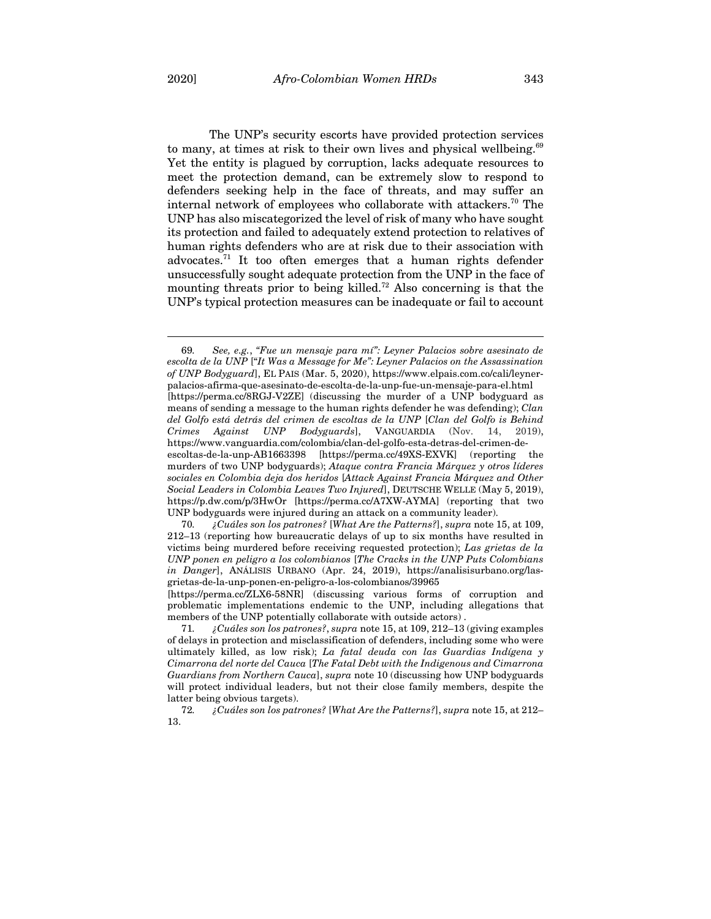The UNP's security escorts have provided protection services to many, at times at risk to their own lives and physical wellbeing.<sup>69</sup> Yet the entity is plagued by corruption, lacks adequate resources to meet the protection demand, can be extremely slow to respond to defenders seeking help in the face of threats, and may suffer an internal network of employees who collaborate with attackers.70 The UNP has also miscategorized the level of risk of many who have sought its protection and failed to adequately extend protection to relatives of human rights defenders who are at risk due to their association with advocates.71 It too often emerges that a human rights defender unsuccessfully sought adequate protection from the UNP in the face of mounting threats prior to being killed. <sup>72</sup> Also concerning is that the UNP's typical protection measures can be inadequate or fail to account

69*. See, e.g.*, *"Fue un mensaje para mí": Leyner Palacios sobre asesinato de escolta de la UNP* ["*It Was a Message for Me": Leyner Palacios on the Assassination of UNP Bodyguard*], EL PAIS (Mar. 5, 2020), https://www.elpais.com.co/cali/leynerpalacios-afirma-que-asesinato-de-escolta-de-la-unp-fue-un-mensaje-para-el.html [https://perma.cc/8RGJ-V2ZE] (discussing the murder of a UNP bodyguard as means of sending a message to the human rights defender he was defending); *Clan del Golfo está detrás del crimen de escoltas de la UNP* [*Clan del Golfo is Behind Crimes Against UNP Bodyguards*], VANGUARDIA (Nov. 14, 2019), https://www.vanguardia.com/colombia/clan-del-golfo-esta-detras-del-crimen-deescoltas-de-la-unp-AB1663398 [https://perma.cc/49XS-EXVK] (reporting the murders of two UNP bodyguards); *Ataque contra Francia Márquez y otros líderes sociales en Colombia deja dos heridos* [*Attack Against Francia Márquez and Other Social Leaders in Colombia Leaves Two Injured*], DEUTSCHE WELLE (May 5, 2019), https://p.dw.com/p/3HwOr [https://perma.cc/A7XW-AYMA] (reporting that two UNP bodyguards were injured during an attack on a community leader).

70*. ¿Cuáles son los patrones?* [*What Are the Patterns?*], *supra* note 15, at 109, 212–13 (reporting how bureaucratic delays of up to six months have resulted in victims being murdered before receiving requested protection); *Las grietas de la UNP ponen en peligro a los colombianos* [*The Cracks in the UNP Puts Colombians in Danger*], ANÁLISIS URBANO (Apr. 24, 2019), https://analisisurbano.org/lasgrietas-de-la-unp-ponen-en-peligro-a-los-colombianos/39965

[https://perma.cc/ZLX6-58NR] (discussing various forms of corruption and problematic implementations endemic to the UNP, including allegations that members of the UNP potentially collaborate with outside actors) .

<sup>71</sup>*. ¿Cuáles son los patrones?*, *supra* note 15, at 109, 212–13 (giving examples of delays in protection and misclassification of defenders, including some who were ultimately killed, as low risk); *La fatal deuda con las Guardias Indígena y Cimarrona del norte del Cauca* [*The Fatal Debt with the Indigenous and Cimarrona Guardians from Northern Cauca*], *supra* note 10 (discussing how UNP bodyguards will protect individual leaders, but not their close family members, despite the latter being obvious targets).

<sup>72</sup>*. ¿Cuáles son los patrones?* [*What Are the Patterns?*], *supra* note 15, at 212– 13.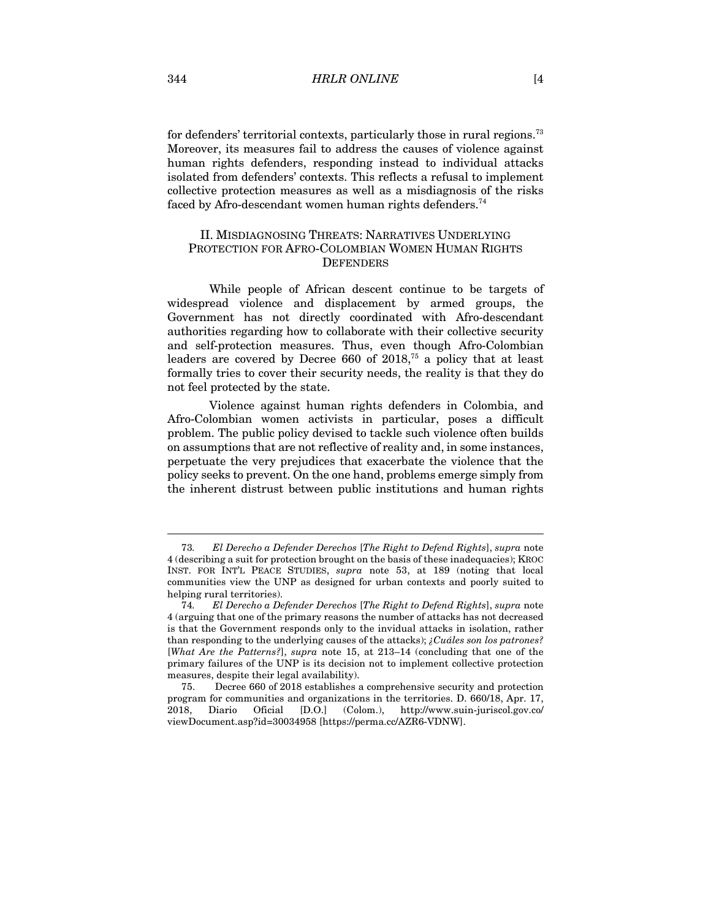for defenders' territorial contexts, particularly those in rural regions.<sup>73</sup> Moreover, its measures fail to address the causes of violence against human rights defenders, responding instead to individual attacks isolated from defenders' contexts. This reflects a refusal to implement collective protection measures as well as a misdiagnosis of the risks faced by Afro-descendant women human rights defenders.<sup>74</sup>

## II. MISDIAGNOSING THREATS: NARRATIVES UNDERLYING PROTECTION FOR AFRO-COLOMBIAN WOMEN HUMAN RIGHTS **DEFENDERS**

While people of African descent continue to be targets of widespread violence and displacement by armed groups, the Government has not directly coordinated with Afro-descendant authorities regarding how to collaborate with their collective security and self-protection measures. Thus, even though Afro-Colombian leaders are covered by Decree  $660$  of  $2018$ ,<sup>75</sup> a policy that at least formally tries to cover their security needs, the reality is that they do not feel protected by the state.

Violence against human rights defenders in Colombia, and Afro-Colombian women activists in particular, poses a difficult problem. The public policy devised to tackle such violence often builds on assumptions that are not reflective of reality and, in some instances, perpetuate the very prejudices that exacerbate the violence that the policy seeks to prevent. On the one hand, problems emerge simply from the inherent distrust between public institutions and human rights

<sup>73</sup>*. El Derecho a Defender Derechos* [*The Right to Defend Rights*], *supra* note 4 (describing a suit for protection brought on the basis of these inadequacies); KROC INST. FOR INT'L PEACE STUDIES, *supra* note 53, at 189 (noting that local communities view the UNP as designed for urban contexts and poorly suited to helping rural territories).

<sup>74</sup>*. El Derecho a Defender Derechos* [*The Right to Defend Rights*], *supra* note 4 (arguing that one of the primary reasons the number of attacks has not decreased is that the Government responds only to the invidual attacks in isolation, rather than responding to the underlying causes of the attacks); *¿Cuáles son los patrones?* [*What Are the Patterns?*], *supra* note 15, at 213–14 (concluding that one of the primary failures of the UNP is its decision not to implement collective protection measures, despite their legal availability).

<sup>75.</sup> Decree 660 of 2018 establishes a comprehensive security and protection program for communities and organizations in the territories. D. 660/18, Apr. 17, 2018, Diario Oficial [D.O.] (Colom.), http://www.suin-juriscol.gov.co/ viewDocument.asp?id=30034958 [https://perma.cc/AZR6-VDNW].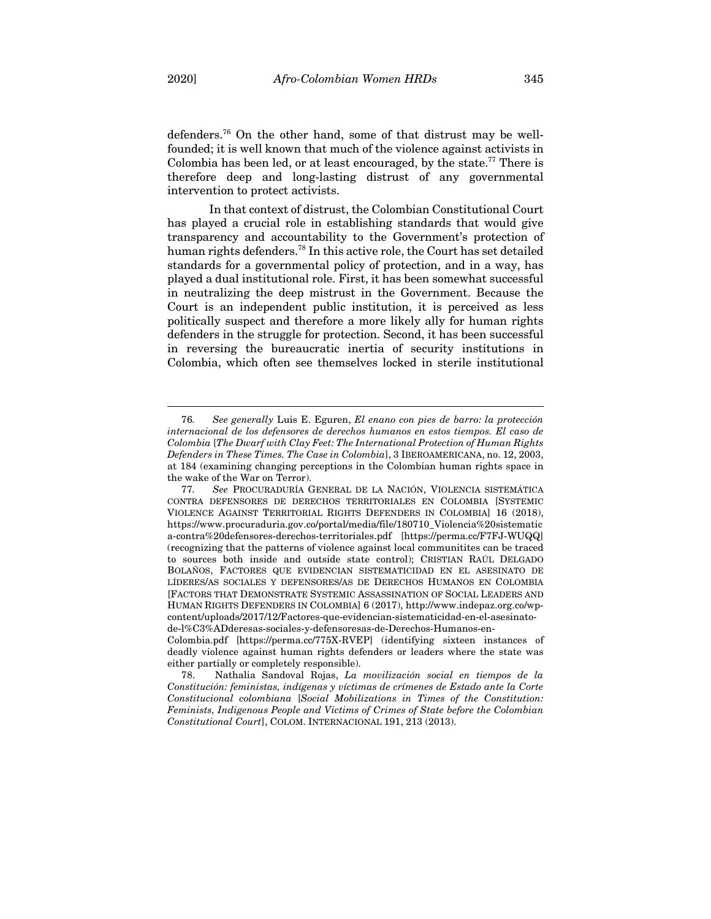defenders. <sup>76</sup> On the other hand, some of that distrust may be wellfounded; it is well known that much of the violence against activists in Colombia has been led, or at least encouraged, by the state.<sup>77</sup> There is therefore deep and long-lasting distrust of any governmental intervention to protect activists.

In that context of distrust, the Colombian Constitutional Court has played a crucial role in establishing standards that would give transparency and accountability to the Government's protection of human rights defenders.<sup>78</sup> In this active role, the Court has set detailed standards for a governmental policy of protection, and in a way, has played a dual institutional role. First, it has been somewhat successful in neutralizing the deep mistrust in the Government. Because the Court is an independent public institution, it is perceived as less politically suspect and therefore a more likely ally for human rights defenders in the struggle for protection. Second, it has been successful in reversing the bureaucratic inertia of security institutions in Colombia, which often see themselves locked in sterile institutional

<sup>76</sup>*. See generally* Luis E. Eguren, *El enano con pies de barro: la protección internacional de los defensores de derechos humanos en estos tiempos. El caso de Colombia* [*The Dwarf with Clay Feet: The International Protection of Human Rights Defenders in These Times. The Case in Colombia*], 3 IBEROAMERICANA, no. 12, 2003, at 184 (examining changing perceptions in the Colombian human rights space in the wake of the War on Terror).

<sup>77</sup>*. See* PROCURADURÍA GENERAL DE LA NACIÓN, VIOLENCIA SISTEMÁTICA CONTRA DEFENSORES DE DERECHOS TERRITORIALES EN COLOMBIA [SYSTEMIC VIOLENCE AGAINST TERRITORIAL RIGHTS DEFENDERS IN COLOMBIA] 16 (2018), https://www.procuraduria.gov.co/portal/media/file/180710\_Violencia%20sistematic a-contra%20defensores-derechos-territoriales.pdf [https://perma.cc/F7FJ-WUQQ] (recognizing that the patterns of violence against local communitites can be traced to sources both inside and outside state control); CRISTIAN RAÚL DELGADO BOLAÑOS, FACTORES QUE EVIDENCIAN SISTEMATICIDAD EN EL ASESINATO DE LÍDERES/AS SOCIALES Y DEFENSORES/AS DE DERECHOS HUMANOS EN COLOMBIA [FACTORS THAT DEMONSTRATE SYSTEMIC ASSASSINATION OF SOCIAL LEADERS AND HUMAN RIGHTS DEFENDERS IN COLOMBIA] 6 (2017), http://www.indepaz.org.co/wpcontent/uploads/2017/12/Factores-que-evidencian-sistematicidad-en-el-asesinatode-l%C3%ADderesas-sociales-y-defensoresas-de-Derechos-Humanos-en-

Colombia.pdf [https://perma.cc/775X-RVEP] (identifying sixteen instances of deadly violence against human rights defenders or leaders where the state was either partially or completely responsible).

<sup>78.</sup> Nathalia Sandoval Rojas, *La movilización social en tiempos de la Constitución: feministas, indígenas y víctimas de crímenes de Estado ante la Corte Constitucional colombiana* [*Social Mobilizations in Times of the Constitution: Feminists, Indigenous People and Victims of Crimes of State before the Colombian Constitutional Court*], COLOM. INTERNACIONAL 191, 213 (2013).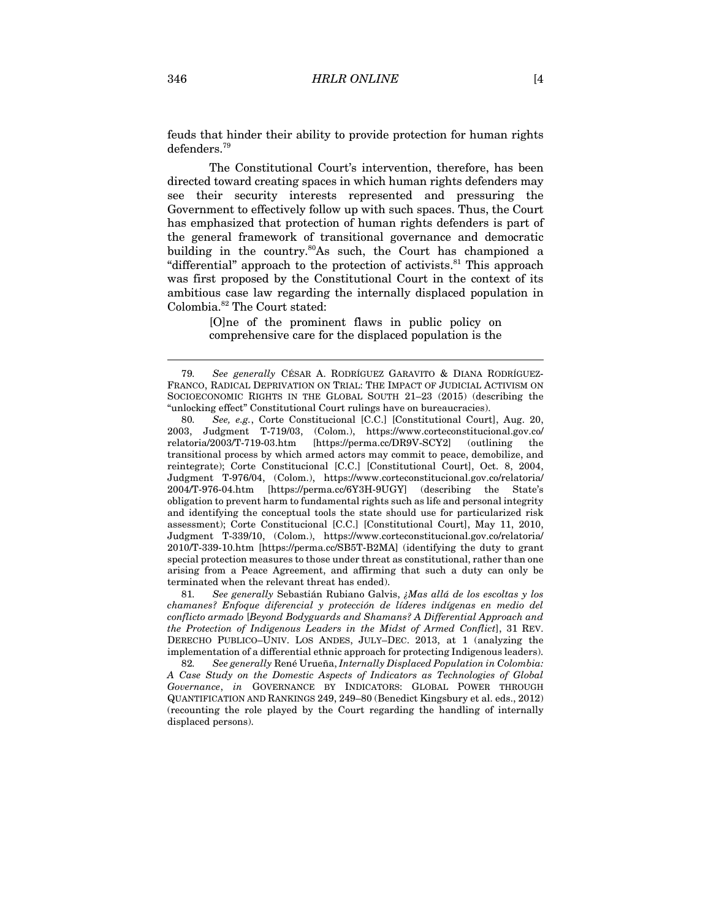feuds that hinder their ability to provide protection for human rights defenders. 79

The Constitutional Court's intervention, therefore, has been directed toward creating spaces in which human rights defenders may see their security interests represented and pressuring the Government to effectively follow up with such spaces. Thus, the Court has emphasized that protection of human rights defenders is part of the general framework of transitional governance and democratic building in the country.<sup>80</sup>As such, the Court has championed a "differential" approach to the protection of activists.<sup>81</sup> This approach was first proposed by the Constitutional Court in the context of its ambitious case law regarding the internally displaced population in Colombia. <sup>82</sup> The Court stated:

> [O]ne of the prominent flaws in public policy on comprehensive care for the displaced population is the

81*. See generally* Sebastián Rubiano Galvis, *¿Mas allá de los escoltas y los chamanes? Enfoque diferencial y protección de líderes indígenas en medio del conflicto armado* [*Beyond Bodyguards and Shamans? A Differential Approach and the Protection of Indigenous Leaders in the Midst of Armed Conflict*], 31 REV. DERECHO PUBLICO–UNIV. LOS ANDES, JULY–DEC. 2013, at 1 (analyzing the implementation of a differential ethnic approach for protecting Indigenous leaders).

82*. See generally* René Urueña, *Internally Displaced Population in Colombia: A Case Study on the Domestic Aspects of Indicators as Technologies of Global Governance*, *in* GOVERNANCE BY INDICATORS: GLOBAL POWER THROUGH QUANTIFICATION AND RANKINGS 249, 249–80 (Benedict Kingsbury et al. eds., 2012) (recounting the role played by the Court regarding the handling of internally displaced persons).

<sup>79</sup>*. See generally* CÉSAR A. RODRÍGUEZ GARAVITO & DIANA RODRÍGUEZ-FRANCO, RADICAL DEPRIVATION ON TRIAL: THE IMPACT OF JUDICIAL ACTIVISM ON SOCIOECONOMIC RIGHTS IN THE GLOBAL SOUTH 21–23 (2015) (describing the "unlocking effect" Constitutional Court rulings have on bureaucracies).

<sup>80</sup>*. See, e.g.*, Corte Constitucional [C.C.] [Constitutional Court], Aug. 20, 2003, Judgment T-719/03, (Colom.), https://www.corteconstitucional.gov.co/ relatoria/2003/T-719-03.htm [https://perma.cc/DR9V-SCY2] (outlining the transitional process by which armed actors may commit to peace, demobilize, and reintegrate); Corte Constitucional [C.C.] [Constitutional Court], Oct. 8, 2004, Judgment T-976/04, (Colom.), https://www.corteconstitucional.gov.co/relatoria/ 2004/T-976-04.htm [https://perma.cc/6Y3H-9UGY] (describing the State's obligation to prevent harm to fundamental rights such as life and personal integrity and identifying the conceptual tools the state should use for particularized risk assessment); Corte Constitucional [C.C.] [Constitutional Court], May 11, 2010, Judgment T-339/10, (Colom.), https://www.corteconstitucional.gov.co/relatoria/ 2010/T-339-10.htm [https://perma.cc/SB5T-B2MA] (identifying the duty to grant special protection measures to those under threat as constitutional, rather than one arising from a Peace Agreement, and affirming that such a duty can only be terminated when the relevant threat has ended).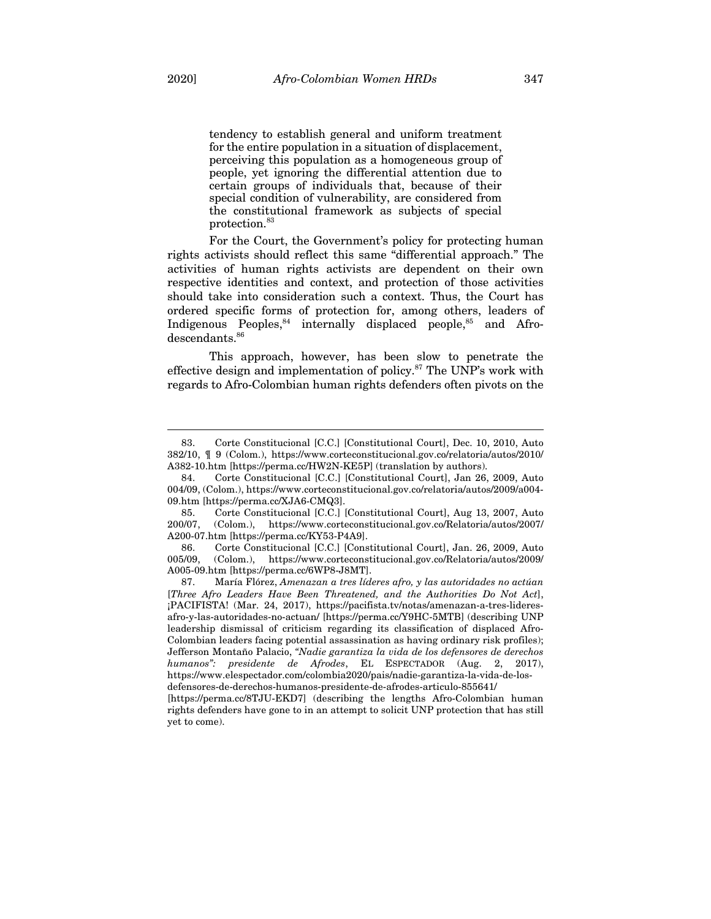tendency to establish general and uniform treatment for the entire population in a situation of displacement, perceiving this population as a homogeneous group of people, yet ignoring the differential attention due to certain groups of individuals that, because of their special condition of vulnerability, are considered from the constitutional framework as subjects of special protection.83

For the Court, the Government's policy for protecting human rights activists should reflect this same "differential approach." The activities of human rights activists are dependent on their own respective identities and context, and protection of those activities should take into consideration such a context. Thus, the Court has ordered specific forms of protection for, among others, leaders of Indigenous Peoples,<sup>84</sup> internally displaced people,<sup>85</sup> and Afrodescendants. 86

This approach, however, has been slow to penetrate the effective design and implementation of policy.<sup>87</sup> The UNP's work with regards to Afro-Colombian human rights defenders often pivots on the

<sup>83.</sup> Corte Constitucional [C.C.] [Constitutional Court], Dec. 10, 2010, Auto 382/10, ¶ 9 (Colom.), https://www.corteconstitucional.gov.co/relatoria/autos/2010/ A382-10.htm [https://perma.cc/HW2N-KE5P] (translation by authors).

<sup>84.</sup> Corte Constitucional [C.C.] [Constitutional Court], Jan 26, 2009, Auto 004/09, (Colom.), https://www.corteconstitucional.gov.co/relatoria/autos/2009/a004- 09.htm [https://perma.cc/XJA6-CMQ3].

<sup>85.</sup> Corte Constitucional [C.C.] [Constitutional Court], Aug 13, 2007, Auto 200/07, (Colom.), https://www.corteconstitucional.gov.co/Relatoria/autos/2007/ A200-07.htm [https://perma.cc/KY53-P4A9].

<sup>86.</sup> Corte Constitucional [C.C.] [Constitutional Court], Jan. 26, 2009, Auto 005/09, (Colom.), https://www.corteconstitucional.gov.co/Relatoria/autos/2009/ A005-09.htm [https://perma.cc/6WP8-J8MT].

<sup>87.</sup> María Flórez, *Amenazan a tres líderes afro, y las autoridades no actúan*  [*Three Afro Leaders Have Been Threatened, and the Authorities Do Not Act*], ¡PACIFISTA! (Mar. 24, 2017), https://pacifista.tv/notas/amenazan-a-tres-lideresafro-y-las-autoridades-no-actuan/ [https://perma.cc/Y9HC-5MTB] (describing UNP leadership dismissal of criticism regarding its classification of displaced Afro-Colombian leaders facing potential assassination as having ordinary risk profiles); Jefferson Montaño Palacio, *"Nadie garantiza la vida de los defensores de derechos humanos": presidente de Afrodes*, EL ESPECTADOR (Aug. 2, 2017), https://www.elespectador.com/colombia2020/pais/nadie-garantiza-la-vida-de-los-

defensores-de-derechos-humanos-presidente-de-afrodes-articulo-855641/

<sup>[</sup>https://perma.cc/8TJU-EKD7] (describing the lengths Afro-Colombian human rights defenders have gone to in an attempt to solicit UNP protection that has still yet to come).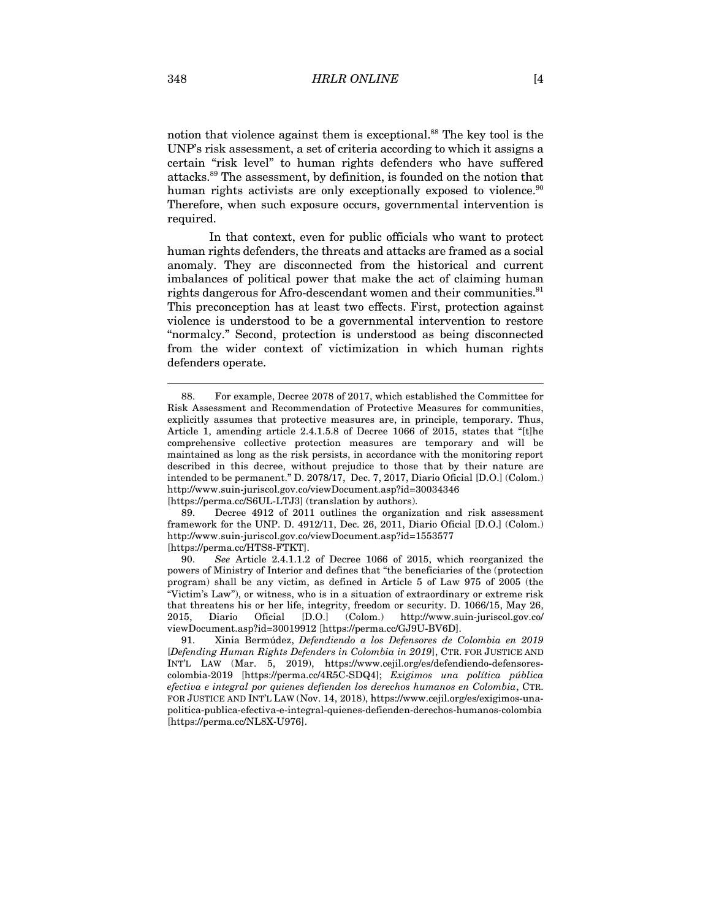notion that violence against them is exceptional. <sup>88</sup> The key tool is the UNP's risk assessment, a set of criteria according to which it assigns a certain "risk level" to human rights defenders who have suffered attacks. <sup>89</sup> The assessment, by definition, is founded on the notion that human rights activists are only exceptionally exposed to violence.<sup>90</sup> Therefore, when such exposure occurs, governmental intervention is required.

In that context, even for public officials who want to protect human rights defenders, the threats and attacks are framed as a social anomaly. They are disconnected from the historical and current imbalances of political power that make the act of claiming human rights dangerous for Afro-descendant women and their communities.<sup>91</sup> This preconception has at least two effects. First, protection against violence is understood to be a governmental intervention to restore "normalcy." Second, protection is understood as being disconnected from the wider context of victimization in which human rights defenders operate.

89. Decree 4912 of 2011 outlines the organization and risk assessment framework for the UNP. D. 4912/11, Dec. 26, 2011, Diario Oficial [D.O.] (Colom.) http://www.suin-juriscol.gov.co/viewDocument.asp?id=1553577 [https://perma.cc/HTS8-FTKT].

<sup>88.</sup> For example, Decree 2078 of 2017, which established the Committee for Risk Assessment and Recommendation of Protective Measures for communities, explicitly assumes that protective measures are, in principle, temporary. Thus, Article 1, amending article 2.4.1.5.8 of Decree 1066 of 2015, states that "[t]he comprehensive collective protection measures are temporary and will be maintained as long as the risk persists, in accordance with the monitoring report described in this decree, without prejudice to those that by their nature are intended to be permanent." D. 2078/17, Dec. 7, 2017, Diario Oficial [D.O.] (Colom.) http://www.suin-juriscol.gov.co/viewDocument.asp?id=30034346

<sup>[</sup>https://perma.cc/S6UL-LTJ3] (translation by authors).

<sup>90.</sup> *See* Article 2.4.1.1.2 of Decree 1066 of 2015, which reorganized the powers of Ministry of Interior and defines that "the beneficiaries of the (protection program) shall be any victim, as defined in Article 5 of Law 975 of 2005 (the "Victim's Law"), or witness, who is in a situation of extraordinary or extreme risk that threatens his or her life, integrity, freedom or security. D. 1066/15, May 26, 2015, Diario Oficial [D.O.] (Colom.) http://www.suin-juriscol.gov.co/ viewDocument.asp?id=30019912 [https://perma.cc/GJ9U-BV6D].

<sup>91.</sup> Xinia Bermúdez, *Defendiendo a los Defensores de Colombia en 2019*  [*Defending Human Rights Defenders in Colombia in 2019*], CTR. FOR JUSTICE AND INT'L LAW (Mar. 5, 2019), https://www.cejil.org/es/defendiendo-defensorescolombia-2019 [https://perma.cc/4R5C-SDQ4]; *Exigimos una política pública efectiva e integral por quienes defienden los derechos humanos en Colombia*, CTR. FOR JUSTICE AND INT'L LAW (Nov. 14, 2018), https://www.cejil.org/es/exigimos-unapolitica-publica-efectiva-e-integral-quienes-defienden-derechos-humanos-colombia [https://perma.cc/NL8X-U976].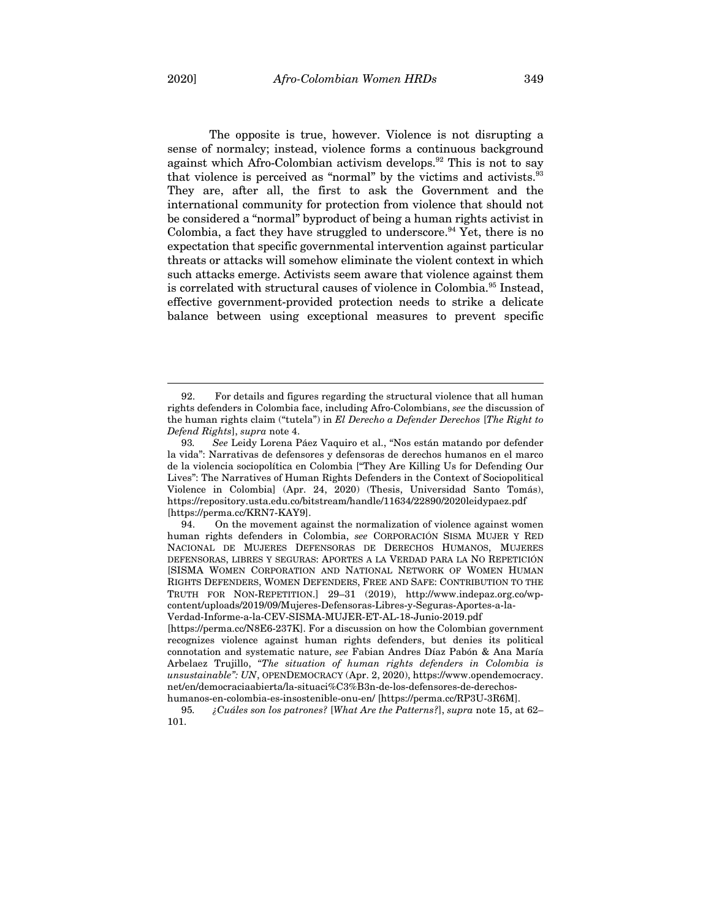The opposite is true, however. Violence is not disrupting a sense of normalcy; instead, violence forms a continuous background against which Afro-Colombian activism develops.<sup>92</sup> This is not to say that violence is perceived as "normal" by the victims and activists.<sup>93</sup> They are, after all, the first to ask the Government and the international community for protection from violence that should not be considered a "normal" byproduct of being a human rights activist in Colombia, a fact they have struggled to underscore.<sup>94</sup> Yet, there is no expectation that specific governmental intervention against particular threats or attacks will somehow eliminate the violent context in which such attacks emerge. Activists seem aware that violence against them is correlated with structural causes of violence in Colombia. <sup>95</sup> Instead, effective government-provided protection needs to strike a delicate balance between using exceptional measures to prevent specific

<sup>92.</sup> For details and figures regarding the structural violence that all human rights defenders in Colombia face, including Afro-Colombians, *see* the discussion of the human rights claim ("tutela") in *El Derecho a Defender Derechos* [*The Right to Defend Rights*], *supra* note 4.

<sup>93</sup>*. See* Leidy Lorena Páez Vaquiro et al., "Nos están matando por defender la vida": Narrativas de defensores y defensoras de derechos humanos en el marco de la violencia sociopolítica en Colombia ["They Are Killing Us for Defending Our Lives": The Narratives of Human Rights Defenders in the Context of Sociopolitical Violence in Colombia] (Apr. 24, 2020) (Thesis, Universidad Santo Tomás), https://repository.usta.edu.co/bitstream/handle/11634/22890/2020leidypaez.pdf [https://perma.cc/KRN7-KAY9].

<sup>94.</sup> On the movement against the normalization of violence against women human rights defenders in Colombia, *see* CORPORACIÓN SISMA MUJER Y RED NACIONAL DE MUJERES DEFENSORAS DE DERECHOS HUMANOS, MUJERES DEFENSORAS, LIBRES Y SEGURAS: APORTES A LA VERDAD PARA LA NO REPETICIÓN [SISMA WOMEN CORPORATION AND NATIONAL NETWORK OF WOMEN HUMAN RIGHTS DEFENDERS, WOMEN DEFENDERS, FREE AND SAFE: CONTRIBUTION TO THE TRUTH FOR NON-REPETITION.] 29–31 (2019), http://www.indepaz.org.co/wpcontent/uploads/2019/09/Mujeres-Defensoras-Libres-y-Seguras-Aportes-a-la-

Verdad-Informe-a-la-CEV-SISMA-MUJER-ET-AL-18-Junio-2019.pdf [https://perma.cc/N8E6-237K]. For a discussion on how the Colombian government

recognizes violence against human rights defenders, but denies its political connotation and systematic nature, *see* Fabian Andres Díaz Pabón & Ana María Arbelaez Trujillo, *"The situation of human rights defenders in Colombia is unsustainable": UN*, OPENDEMOCRACY (Apr. 2, 2020), https://www.opendemocracy. net/en/democraciaabierta/la-situaci%C3%B3n-de-los-defensores-de-derechoshumanos-en-colombia-es-insostenible-onu-en/ [https://perma.cc/RP3U-3R6M].

<sup>95</sup>*. ¿Cuáles son los patrones?* [*What Are the Patterns?*], *supra* note 15, at 62– 101.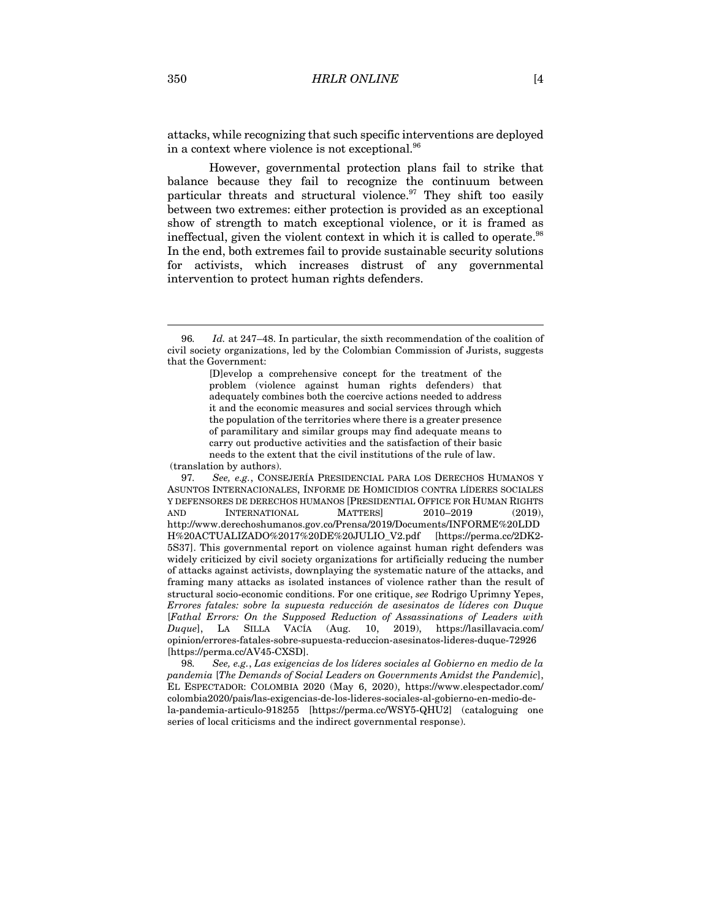attacks, while recognizing that such specific interventions are deployed in a context where violence is not exceptional. $^{96}$ 

However, governmental protection plans fail to strike that balance because they fail to recognize the continuum between particular threats and structural violence.<sup>97</sup> They shift too easily between two extremes: either protection is provided as an exceptional show of strength to match exceptional violence, or it is framed as ineffectual, given the violent context in which it is called to operate.<sup>98</sup> In the end, both extremes fail to provide sustainable security solutions for activists, which increases distrust of any governmental intervention to protect human rights defenders.

(translation by authors).

97*. See, e.g.*, CONSEJERÍA PRESIDENCIAL PARA LOS DERECHOS HUMANOS Y ASUNTOS INTERNACIONALES, INFORME DE HOMICIDIOS CONTRA LÍDERES SOCIALES Y DEFENSORES DE DERECHOS HUMANOS [PRESIDENTIAL OFFICE FOR HUMAN RIGHTS AND INTERNATIONAL MATTERS 2010–2019 (2019). http://www.derechoshumanos.gov.co/Prensa/2019/Documents/INFORME%20LDD H%20ACTUALIZADO%2017%20DE%20JULIO\_V2.pdf [https://perma.cc/2DK2- 5S37]. This governmental report on violence against human right defenders was widely criticized by civil society organizations for artificially reducing the number of attacks against activists, downplaying the systematic nature of the attacks, and framing many attacks as isolated instances of violence rather than the result of structural socio-economic conditions. For one critique, *see* Rodrigo Uprimny Yepes, *Errores fatales: sobre la supuesta reducción de asesinatos de líderes con Duque*  [*Fathal Errors: On the Supposed Reduction of Assassinations of Leaders with Duque*], LA SILLA VACÍA (Aug. 10, 2019), https://lasillavacia.com/ opinion/errores-fatales-sobre-supuesta-reduccion-asesinatos-lideres-duque-72926 [https://perma.cc/AV45-CXSD].

98*. See, e.g.*, *Las exigencias de los líderes sociales al Gobierno en medio de la pandemia* [*The Demands of Social Leaders on Governments Amidst the Pandemic*], EL ESPECTADOR: COLOMBIA 2020 (May 6, 2020), https://www.elespectador.com/ colombia2020/pais/las-exigencias-de-los-lideres-sociales-al-gobierno-en-medio-dela-pandemia-articulo-918255 [https://perma.cc/WSY5-QHU2] (cataloguing one series of local criticisms and the indirect governmental response).

<sup>96</sup>*. Id.* at 247–48. In particular, the sixth recommendation of the coalition of civil society organizations, led by the Colombian Commission of Jurists, suggests that the Government:

<sup>[</sup>D]evelop a comprehensive concept for the treatment of the problem (violence against human rights defenders) that adequately combines both the coercive actions needed to address it and the economic measures and social services through which the population of the territories where there is a greater presence of paramilitary and similar groups may find adequate means to carry out productive activities and the satisfaction of their basic needs to the extent that the civil institutions of the rule of law.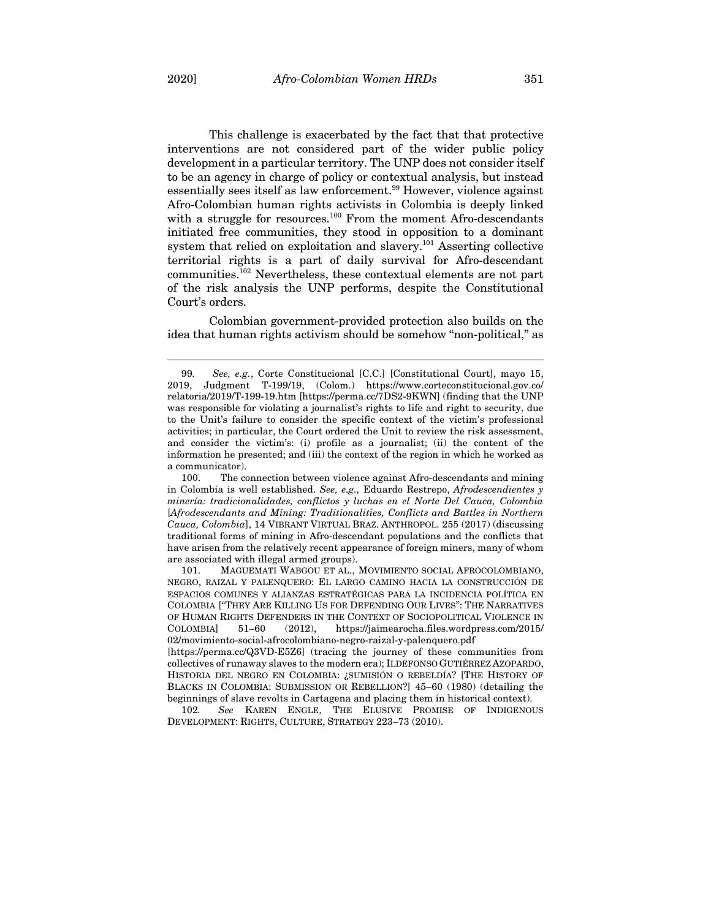This challenge is exacerbated by the fact that that protective interventions are not considered part of the wider public policy development in a particular territory. The UNP does not consider itself to be an agency in charge of policy or contextual analysis, but instead essentially sees itself as law enforcement. <sup>99</sup> However, violence against Afro-Colombian human rights activists in Colombia is deeply linked with a struggle for resources.<sup>100</sup> From the moment Afro-descendants initiated free communities, they stood in opposition to a dominant system that relied on exploitation and slavery.<sup>101</sup> Asserting collective territorial rights is a part of daily survival for Afro-descendant communities.102 Nevertheless, these contextual elements are not part of the risk analysis the UNP performs, despite the Constitutional Court's orders.

Colombian government-provided protection also builds on the idea that human rights activism should be somehow "non-political," as

<sup>99.</sup> *See, e.g.*, Corte Constitucional [C.C.] [Constitutional Court], mayo 15, 2019, Judgment T-199/19, (Colom.) https://www.corteconstitucional.gov.co/ 2019, Judgment T-199/19, (Colom.) https://www.corteconstitucional.gov.co/ relatoria/2019/T-199-19.htm [https://perma.cc/7DS2-9KWN] (finding that the UNP was responsible for violating a journalist's rights to life and right to security, due to the Unit's failure to consider the specific context of the victim's professional activities; in particular, the Court ordered the Unit to review the risk assessment, and consider the victim's: (i) profile as a journalist; (ii) the content of the information he presented; and (iii) the context of the region in which he worked as a communicator).

<sup>100.</sup> The connection between violence against Afro-descendants and mining in Colombia is well established. *See, e.g.,* Eduardo Restrepo, *Afrodescendientes y minería: tradicionalidades, conflictos y luchas en el Norte Del Cauca, Colombia*  [*Afrodescendants and Mining: Traditionalities, Conflicts and Battles in Northern Cauca, Colombia*], 14 VIBRANT VIRTUAL BRAZ. ANTHROPOL. 255 (2017) (discussing traditional forms of mining in Afro-descendant populations and the conflicts that have arisen from the relatively recent appearance of foreign miners, many of whom are associated with illegal armed groups).

<sup>101.</sup> MAGUEMATI WABGOU ET AL., MOVIMIENTO SOCIAL AFROCOLOMBIANO, NEGRO, RAIZAL Y PALENQUERO: EL LARGO CAMINO HACIA LA CONSTRUCCIÓN DE ESPACIOS COMUNES Y ALIANZAS ESTRATÉGICAS PARA LA INCIDENCIA POLÍTICA EN COLOMBIA [*"*THEY ARE KILLING US FOR DEFENDING OUR LIVES": THE NARRATIVES OF HUMAN RIGHTS DEFENDERS IN THE CONTEXT OF SOCIOPOLITICAL VIOLENCE IN COLOMBIA] 51–60 (2012), https://jaimearocha.files.wordpress.com/2015/ 02/movimiento-social-afrocolombiano-negro-raizal-y-palenquero.pdf

<sup>[</sup>https://perma.cc/Q3VD-E5Z6] (tracing the journey of these communities from collectives of runaway slaves to the modern era); ILDEFONSO GUTIÉRREZ AZOPARDO, HISTORIA DEL NEGRO EN COLOMBIA: ¿SUMISIÓN O REBELDÍA? [THE HISTORY OF BLACKS IN COLOMBIA: SUBMISSION OR REBELLION?] 45–60 (1980) (detailing the beginnings of slave revolts in Cartagena and placing them in historical context).

<sup>102</sup>*. See* KAREN ENGLE, THE ELUSIVE PROMISE OF INDIGENOUS DEVELOPMENT: RIGHTS, CULTURE, STRATEGY 223–73 (2010).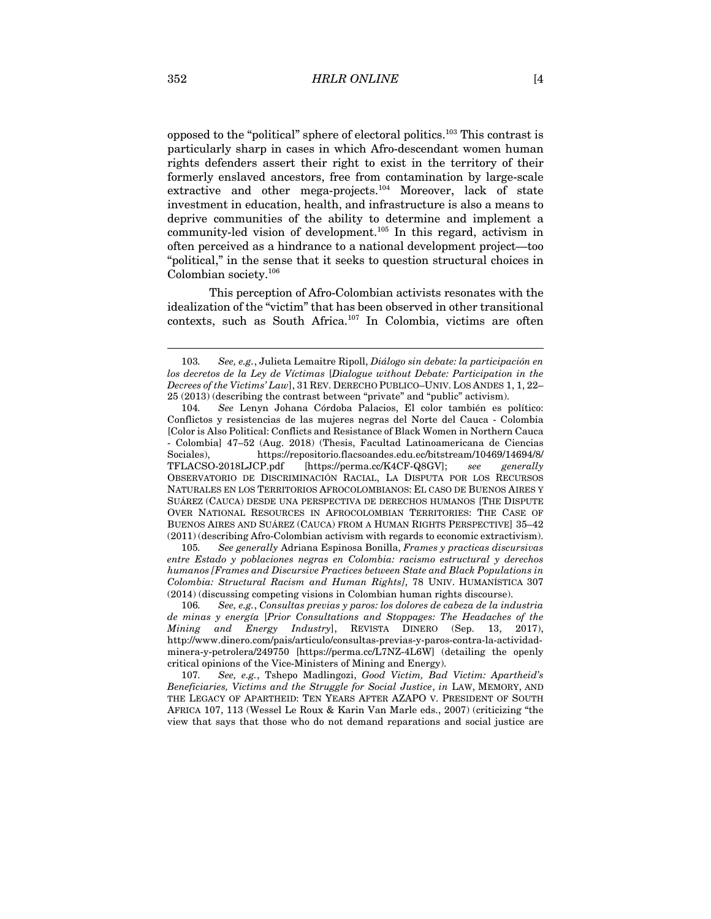opposed to the "political" sphere of electoral politics. <sup>103</sup> This contrast is particularly sharp in cases in which Afro-descendant women human rights defenders assert their right to exist in the territory of their formerly enslaved ancestors, free from contamination by large-scale extractive and other mega-projects.<sup>104</sup> Moreover, lack of state investment in education, health, and infrastructure is also a means to deprive communities of the ability to determine and implement a community-led vision of development. <sup>105</sup> In this regard, activism in often perceived as a hindrance to a national development project—too "political," in the sense that it seeks to question structural choices in Colombian society. 106

This perception of Afro-Colombian activists resonates with the idealization of the "victim" that has been observed in other transitional contexts, such as South Africa. <sup>107</sup> In Colombia, victims are often

105*. See generally* Adriana Espinosa Bonilla, *Frames y practicas discursivas entre Estado y poblaciones negras en Colombia: racismo estructural y derechos humanos [Frames and Discursive Practices between State and Black Populations in Colombia: Structural Racism and Human Rights]*, 78 UNIV. HUMANÍSTICA 307 (2014) (discussing competing visions in Colombian human rights discourse).

107*. See, e.g.*, Tshepo Madlingozi, *Good Victim, Bad Victim: Apartheid's Beneficiaries, Victims and the Struggle for Social Justice*, *in* LAW, MEMORY, AND THE LEGACY OF APARTHEID: TEN YEARS AFTER AZAPO V. PRESIDENT OF SOUTH AFRICA 107, 113 (Wessel Le Roux & Karin Van Marle eds., 2007) (criticizing "the view that says that those who do not demand reparations and social justice are

<sup>103</sup>*. See, e.g.*, Julieta Lemaitre Ripoll, *Diálogo sin debate: la participación en los decretos de la Ley de Víctimas* [*Dialogue without Debate: Participation in the Decrees of the Victims' Law*], 31 REV. DERECHO PUBLICO–UNIV. LOS ANDES 1, 1, 22– 25 (2013) (describing the contrast between "private" and "public" activism).

<sup>104</sup>*. See* Lenyn Johana Córdoba Palacios, El color también es político: Conflictos y resistencias de las mujeres negras del Norte del Cauca - Colombia [Color is Also Political: Conflicts and Resistance of Black Women in Northern Cauca - Colombia] 47–52 (Aug. 2018) (Thesis, Facultad Latinoamericana de Ciencias Sociales), https://repositorio.flacsoandes.edu.ec/bitstream/10469/14694/8/ TFLACSO-2018LJCP.pdf [https://perma.cc/K4CF-Q8GV]; *see* OBSERVATORIO DE DISCRIMINACIÓN RACIAL, LA DISPUTA POR LOS RECURSOS NATURALES EN LOS TERRITORIOS AFROCOLOMBIANOS: EL CASO DE BUENOS AIRES Y SUÁREZ (CAUCA) DESDE UNA PERSPECTIVA DE DERECHOS HUMANOS [THE DISPUTE OVER NATIONAL RESOURCES IN AFROCOLOMBIAN TERRITORIES: THE CASE OF BUENOS AIRES AND SUÁREZ (CAUCA) FROM A HUMAN RIGHTS PERSPECTIVE] 35–42 (2011) (describing Afro-Colombian activism with regards to economic extractivism).

<sup>106</sup>*. See, e.g.*, *Consultas previas y paros: los dolores de cabeza de la industria de minas y energía* [*Prior Consultations and Stoppages: The Headaches of the Mining and Energy Industry*], REVISTA DINERO (Sep. 13, 2017), http://www.dinero.com/pais/articulo/consultas-previas-y-paros-contra-la-actividadminera-y-petrolera/249750 [https://perma.cc/L7NZ-4L6W] (detailing the openly critical opinions of the Vice-Ministers of Mining and Energy).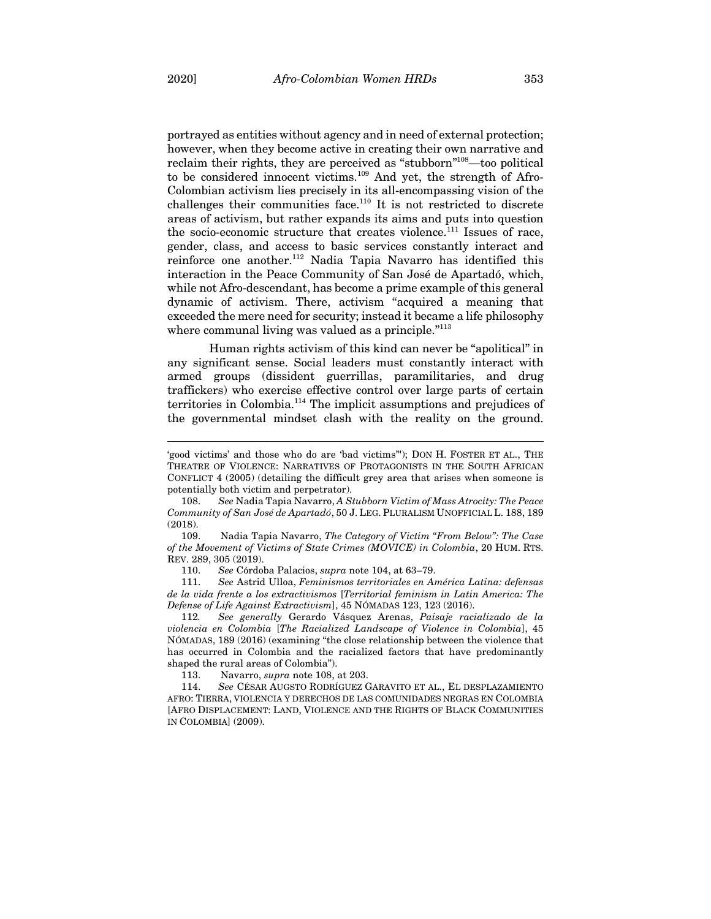portrayed as entities without agency and in need of external protection; however, when they become active in creating their own narrative and reclaim their rights, they are perceived as "stubborn"<sup>108</sup>—too political to be considered innocent victims.<sup>109</sup> And yet, the strength of Afro-Colombian activism lies precisely in its all-encompassing vision of the challenges their communities face.<sup>110</sup> It is not restricted to discrete areas of activism, but rather expands its aims and puts into question the socio-economic structure that creates violence.<sup>111</sup> Issues of race, gender, class, and access to basic services constantly interact and reinforce one another.112 Nadia Tapia Navarro has identified this interaction in the Peace Community of San José de Apartadó, which, while not Afro-descendant, has become a prime example of this general dynamic of activism. There, activism "acquired a meaning that exceeded the mere need for security; instead it became a life philosophy where communal living was valued as a principle."<sup>113</sup>

Human rights activism of this kind can never be "apolitical" in any significant sense. Social leaders must constantly interact with armed groups (dissident guerrillas, paramilitaries, and drug traffickers) who exercise effective control over large parts of certain territories in Colombia.<sup>114</sup> The implicit assumptions and prejudices of the governmental mindset clash with the reality on the ground.

109. Nadia Tapia Navarro, *The Category of Victim "From Below": The Case of the Movement of Victims of State Crimes (MOVICE) in Colombia*, 20 HUM. RTS. REV. 289, 305 (2019).

110. *See* Córdoba Palacios, *supra* note 104, at 63–79.

111. *See* Astrid Ulloa, *Feminismos territoriales en América Latina: defensas de la vida frente a los extractivismos* [*Territorial feminism in Latin America: The Defense of Life Against Extractivism*], 45 NÓMADAS 123, 123 (2016).

112*. See generally* Gerardo Vásquez Arenas, *Paisaje racializado de la violencia en Colombia* [*The Racialized Landscape of Violence in Colombia*], 45 NÓMADAS, 189 (2016) (examining "the close relationship between the violence that has occurred in Colombia and the racialized factors that have predominantly shaped the rural areas of Colombia").

113. Navarro, *supra* note 108, at 203.

114. *See* CÉSAR AUGSTO RODRÍGUEZ GARAVITO ET AL., EL DESPLAZAMIENTO AFRO: TIERRA, VIOLENCIA Y DERECHOS DE LAS COMUNIDADES NEGRAS EN COLOMBIA [AFRO DISPLACEMENT: LAND, VIOLENCE AND THE RIGHTS OF BLACK COMMUNITIES IN COLOMBIA] (2009).

<sup>&#</sup>x27;good victims' and those who do are 'bad victims'"); DON H. FOSTER ET AL., THE THEATRE OF VIOLENCE: NARRATIVES OF PROTAGONISTS IN THE SOUTH AFRICAN CONFLICT 4 (2005) (detailing the difficult grey area that arises when someone is potentially both victim and perpetrator).

<sup>108.</sup> *See* Nadia Tapia Navarro, *A Stubborn Victim of Mass Atrocity: The Peace Community of San José de Apartadó*, 50 J. LEG. PLURALISM UNOFFICIAL L. 188, 189 (2018).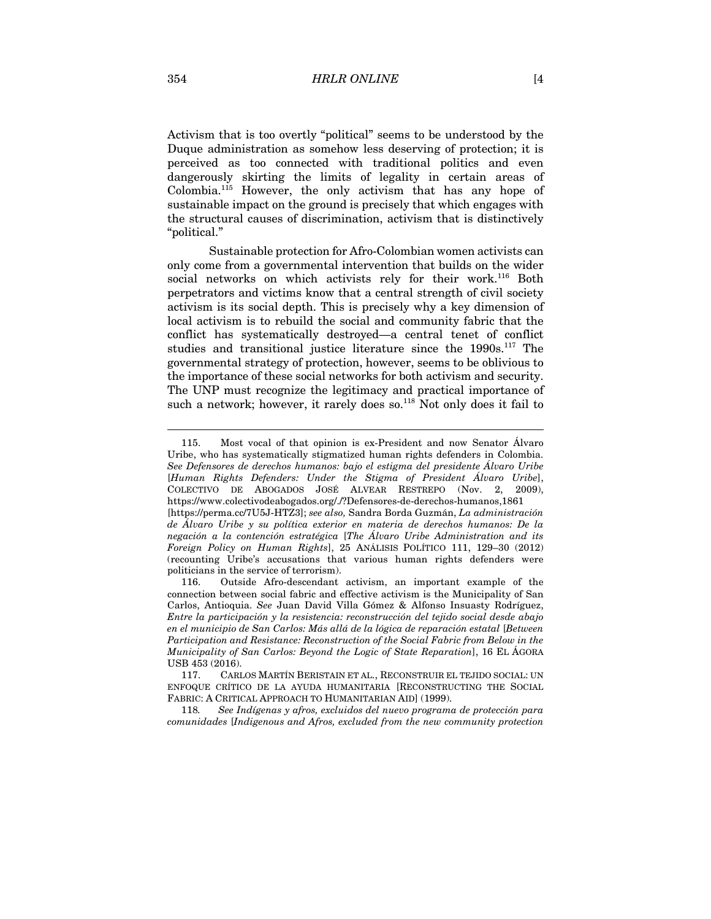Activism that is too overtly "political" seems to be understood by the Duque administration as somehow less deserving of protection; it is perceived as too connected with traditional politics and even dangerously skirting the limits of legality in certain areas of Colombia.115 However, the only activism that has any hope of sustainable impact on the ground is precisely that which engages with the structural causes of discrimination, activism that is distinctively "political."

Sustainable protection for Afro-Colombian women activists can only come from a governmental intervention that builds on the wider social networks on which activists rely for their work.<sup>116</sup> Both perpetrators and victims know that a central strength of civil society activism is its social depth. This is precisely why a key dimension of local activism is to rebuild the social and community fabric that the conflict has systematically destroyed—a central tenet of conflict studies and transitional justice literature since the 1990s.<sup>117</sup> The governmental strategy of protection, however, seems to be oblivious to the importance of these social networks for both activism and security. The UNP must recognize the legitimacy and practical importance of such a network; however, it rarely does so.<sup>118</sup> Not only does it fail to

<sup>115.</sup> Most vocal of that opinion is ex-President and now Senator Álvaro Uribe, who has systematically stigmatized human rights defenders in Colombia. *See Defensores de derechos humanos: bajo el estigma del presidente Álvaro Uribe* [*Human Rights Defenders: Under the Stigma of President Álvaro Uribe*], COLECTIVO DE ABOGADOS JOSÉ ALVEAR RESTREPO (Nov. 2, 2009), https://www.colectivodeabogados.org/./?Defensores-de-derechos-humanos,1861 [https://perma.cc/7U5J-HTZ3]; *see also,* Sandra Borda Guzmán, *La administración de Álvaro Uribe y su política exterior en materia de derechos humanos: De la negación a la contención estratégica* [*The Álvaro Uribe Administration and its Foreign Policy on Human Rights*], 25 ANÁLISIS POLÍTICO 111, 129–30 (2012) (recounting Uribe's accusations that various human rights defenders were politicians in the service of terrorism).

<sup>116.</sup> Outside Afro-descendant activism, an important example of the connection between social fabric and effective activism is the Municipality of San Carlos, Antioquia. *See* Juan David Villa Gómez & Alfonso Insuasty Rodríguez, *Entre la participación y la resistencia: reconstrucción del tejido social desde abajo en el municipio de San Carlos: Más allá de la lógica de reparación estatal* [*Between Participation and Resistance: Reconstruction of the Social Fabric from Below in the Municipality of San Carlos: Beyond the Logic of State Reparation*], 16 EL ÁGORA USB 453 (2016).

<sup>117.</sup> CARLOS MARTÍN BERISTAIN ET AL., RECONSTRUIR EL TEJIDO SOCIAL: UN ENFOQUE CRÍTICO DE LA AYUDA HUMANITARIA [RECONSTRUCTING THE SOCIAL FABRIC: A CRITICAL APPROACH TO HUMANITARIAN AID] (1999).

<sup>118</sup>*. See Indígenas y afros, excluidos del nuevo programa de protección para comunidades* [*Indigenous and Afros, excluded from the new community protection*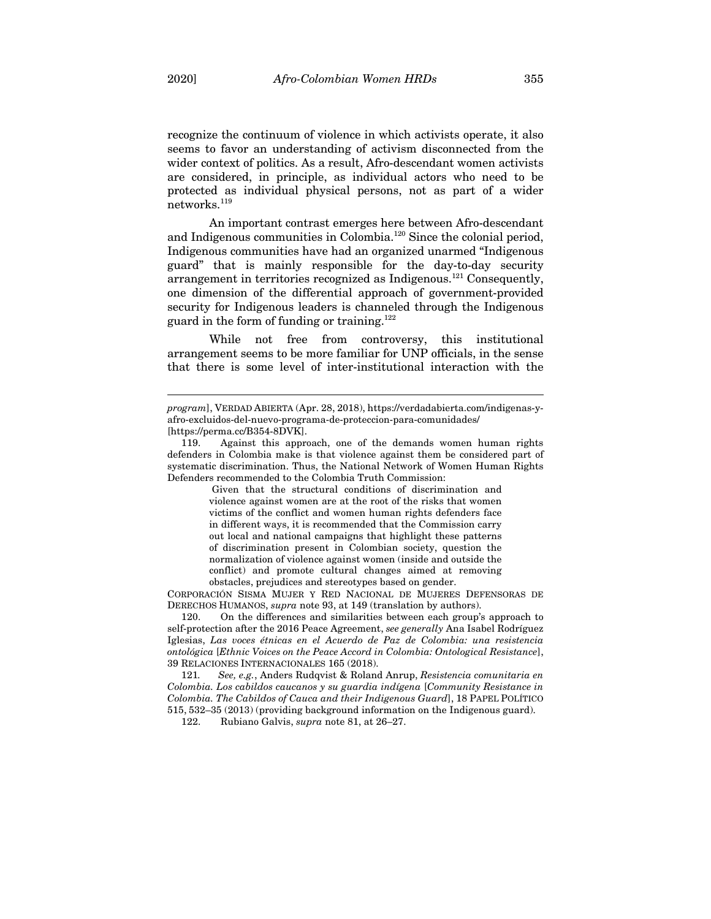recognize the continuum of violence in which activists operate, it also seems to favor an understanding of activism disconnected from the wider context of politics. As a result, Afro-descendant women activists are considered, in principle, as individual actors who need to be protected as individual physical persons, not as part of a wider  ${\rm networks.}^{119}$ 

An important contrast emerges here between Afro-descendant and Indigenous communities in Colombia. <sup>120</sup> Since the colonial period, Indigenous communities have had an organized unarmed "Indigenous guard" that is mainly responsible for the day-to-day security arrangement in territories recognized as Indigenous.<sup>121</sup> Consequently, one dimension of the differential approach of government-provided security for Indigenous leaders is channeled through the Indigenous guard in the form of funding or training.<sup>122</sup>

While not free from controversy, this institutional arrangement seems to be more familiar for UNP officials, in the sense that there is some level of inter-institutional interaction with the

Given that the structural conditions of discrimination and violence against women are at the root of the risks that women victims of the conflict and women human rights defenders face in different ways, it is recommended that the Commission carry out local and national campaigns that highlight these patterns of discrimination present in Colombian society, question the normalization of violence against women (inside and outside the conflict) and promote cultural changes aimed at removing obstacles, prejudices and stereotypes based on gender.

CORPORACIÓN SISMA MUJER Y RED NACIONAL DE MUJERES DEFENSORAS DE DERECHOS HUMANOS, *supra* note 93, at 149 (translation by authors).

120. On the differences and similarities between each group's approach to self-protection after the 2016 Peace Agreement, *see generally* Ana Isabel Rodríguez Iglesias, *Las voces étnicas en el Acuerdo de Paz de Colombia: una resistencia ontológica* [*Ethnic Voices on the Peace Accord in Colombia: Ontological Resistance*], 39 RELACIONES INTERNACIONALES 165 (2018).

121*. See, e.g.*, Anders Rudqvist & Roland Anrup, *Resistencia comunitaria en Colombia. Los cabildos caucanos y su guardia indígena* [*Community Resistance in Colombia. The Cabildos of Cauca and their Indigenous Guard*], 18 PAPEL POLÍTICO 515, 532–35 (2013) (providing background information on the Indigenous guard).

122. Rubiano Galvis, *supra* note 81, at 26–27.

*program*], VERDAD ABIERTA (Apr. 28, 2018), https://verdadabierta.com/indigenas-yafro-excluidos-del-nuevo-programa-de-proteccion-para-comunidades/ [https://perma.cc/B354-8DVK].

<sup>119.</sup> Against this approach, one of the demands women human rights defenders in Colombia make is that violence against them be considered part of systematic discrimination. Thus, the National Network of Women Human Rights Defenders recommended to the Colombia Truth Commission: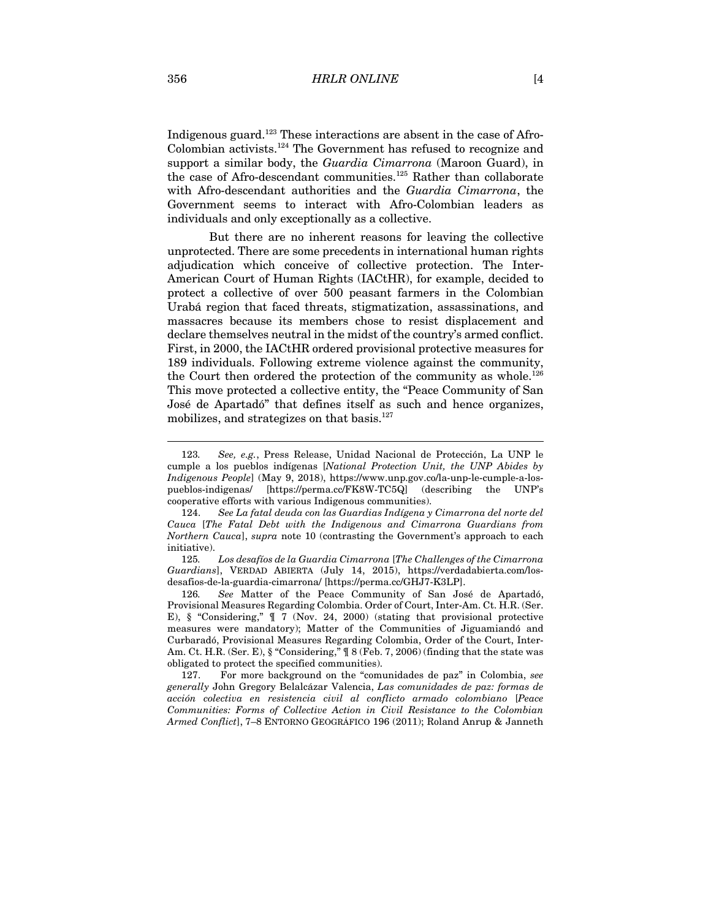Indigenous guard.<sup>123</sup> These interactions are absent in the case of Afro-Colombian activists.<sup>124</sup> The Government has refused to recognize and support a similar body, the *Guardia Cimarrona* (Maroon Guard), in the case of Afro-descendant communities. <sup>125</sup> Rather than collaborate with Afro-descendant authorities and the *Guardia Cimarrona*, the Government seems to interact with Afro-Colombian leaders as individuals and only exceptionally as a collective.

But there are no inherent reasons for leaving the collective unprotected. There are some precedents in international human rights adjudication which conceive of collective protection. The Inter-American Court of Human Rights (IACtHR), for example, decided to protect a collective of over 500 peasant farmers in the Colombian Urabá region that faced threats, stigmatization, assassinations, and massacres because its members chose to resist displacement and declare themselves neutral in the midst of the country's armed conflict. First, in 2000, the IACtHR ordered provisional protective measures for 189 individuals. Following extreme violence against the community, the Court then ordered the protection of the community as whole.<sup>126</sup> This move protected a collective entity, the "Peace Community of San José de Apartadó" that defines itself as such and hence organizes, mobilizes, and strategizes on that basis.<sup>127</sup>

125*. Los desafíos de la Guardia Cimarrona* [*The Challenges of the Cimarrona Guardians*], VERDAD ABIERTA (July 14, 2015), https://verdadabierta.com/losdesafios-de-la-guardia-cimarrona/ [https://perma.cc/GHJ7-K3LP].

126*. See* Matter of the Peace Community of San José de Apartadó, Provisional Measures Regarding Colombia. Order of Court, Inter-Am. Ct. H.R. (Ser. E), § "Considering," ¶ 7 (Nov. 24, 2000) (stating that provisional protective measures were mandatory); Matter of the Communities of Jiguamiandó and Curbaradó, Provisional Measures Regarding Colombia, Order of the Court, Inter-Am. Ct. H.R. (Ser. E),  $\frac{8}{3}$  "Considering,"  $\frac{9}{3}$  (Feb. 7, 2006) (finding that the state was obligated to protect the specified communities).

127. For more background on the "comunidades de paz" in Colombia, *see generally* John Gregory Belalcázar Valencia, *Las comunidades de paz: formas de acción colectiva en resistencia civil al conflicto armado colombiano* [*Peace Communities: Forms of Collective Action in Civil Resistance to the Colombian Armed Conflict*], 7–8 ENTORNO GEOGRÁFICO 196 (2011); Roland Anrup & Janneth

<sup>123</sup>*. See, e.g.*, Press Release, Unidad Nacional de Protección, La UNP le cumple a los pueblos indígenas [*National Protection Unit, the UNP Abides by Indigenous People*] (May 9, 2018), https://www.unp.gov.co/la-unp-le-cumple-a-lospueblos-indigenas/ [https://perma.cc/FK8W-TC5Q] (describing the UNP's cooperative efforts with various Indigenous communities).

<sup>124.</sup> *See La fatal deuda con las Guardias Indígena y Cimarrona del norte del Cauca* [*The Fatal Debt with the Indigenous and Cimarrona Guardians from Northern Cauca*], *supra* note 10 (contrasting the Government's approach to each initiative).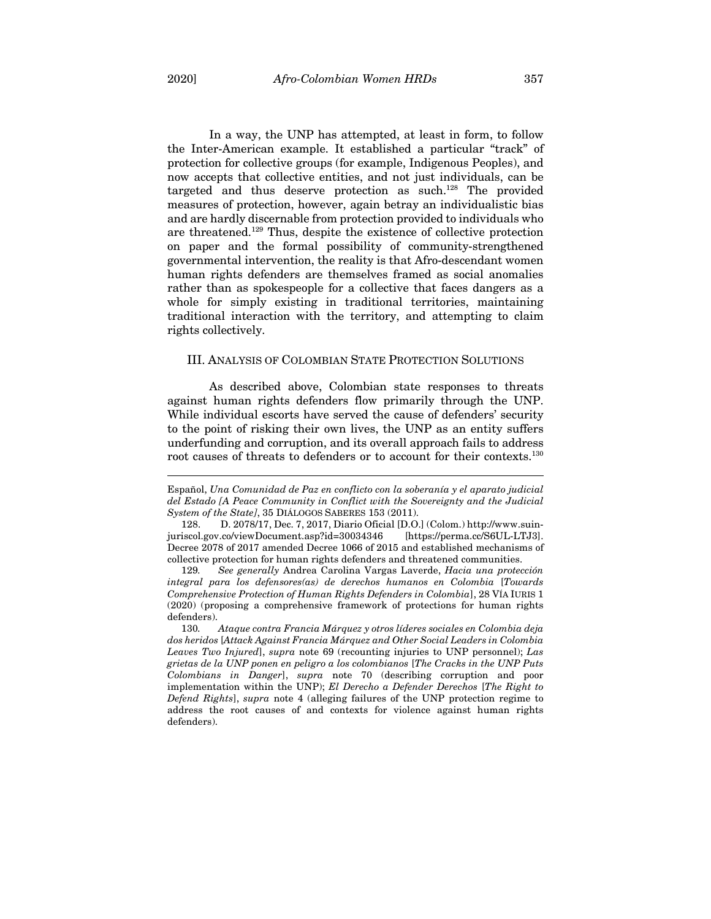In a way, the UNP has attempted, at least in form, to follow the Inter-American example. It established a particular "track" of protection for collective groups (for example, Indigenous Peoples), and now accepts that collective entities, and not just individuals, can be targeted and thus deserve protection as such.<sup>128</sup> The provided measures of protection, however, again betray an individualistic bias and are hardly discernable from protection provided to individuals who are threatened. <sup>129</sup> Thus, despite the existence of collective protection on paper and the formal possibility of community-strengthened governmental intervention, the reality is that Afro-descendant women human rights defenders are themselves framed as social anomalies rather than as spokespeople for a collective that faces dangers as a whole for simply existing in traditional territories, maintaining traditional interaction with the territory, and attempting to claim rights collectively.

#### III. ANALYSIS OF COLOMBIAN STATE PROTECTION SOLUTIONS

As described above, Colombian state responses to threats against human rights defenders flow primarily through the UNP. While individual escorts have served the cause of defenders' security to the point of risking their own lives, the UNP as an entity suffers underfunding and corruption, and its overall approach fails to address root causes of threats to defenders or to account for their contexts.<sup>130</sup>

129*. See generally* Andrea Carolina Vargas Laverde, *Hacia una protección integral para los defensores(as) de derechos humanos en Colombia* [*Towards Comprehensive Protection of Human Rights Defenders in Colombia*], 28 VÍA IURIS 1 (2020) (proposing a comprehensive framework of protections for human rights defenders).

Español, *Una Comunidad de Paz en conflicto con la soberanía y el aparato judicial del Estado [A Peace Community in Conflict with the Sovereignty and the Judicial System of the State]*, 35 DIÁLOGOS SABERES 153 (2011).

<sup>128.</sup> D. 2078/17, Dec. 7, 2017, Diario Oficial [D.O.] (Colom.) http://www.suinjuriscol.gov.co/viewDocument.asp?id=30034346 [https://perma.cc/S6UL-LTJ3]. Decree 2078 of 2017 amended Decree 1066 of 2015 and established mechanisms of collective protection for human rights defenders and threatened communities.

<sup>130</sup>*. Ataque contra Francia Márquez y otros líderes sociales en Colombia deja dos heridos* [*Attack Against Francia Márquez and Other Social Leaders in Colombia Leaves Two Injured*], *supra* note 69 (recounting injuries to UNP personnel); *Las grietas de la UNP ponen en peligro a los colombianos* [*The Cracks in the UNP Puts Colombians in Danger*], *supra* note 70 (describing corruption and poor implementation within the UNP); *El Derecho a Defender Derechos* [*The Right to Defend Rights*], *supra* note 4 (alleging failures of the UNP protection regime to address the root causes of and contexts for violence against human rights defenders).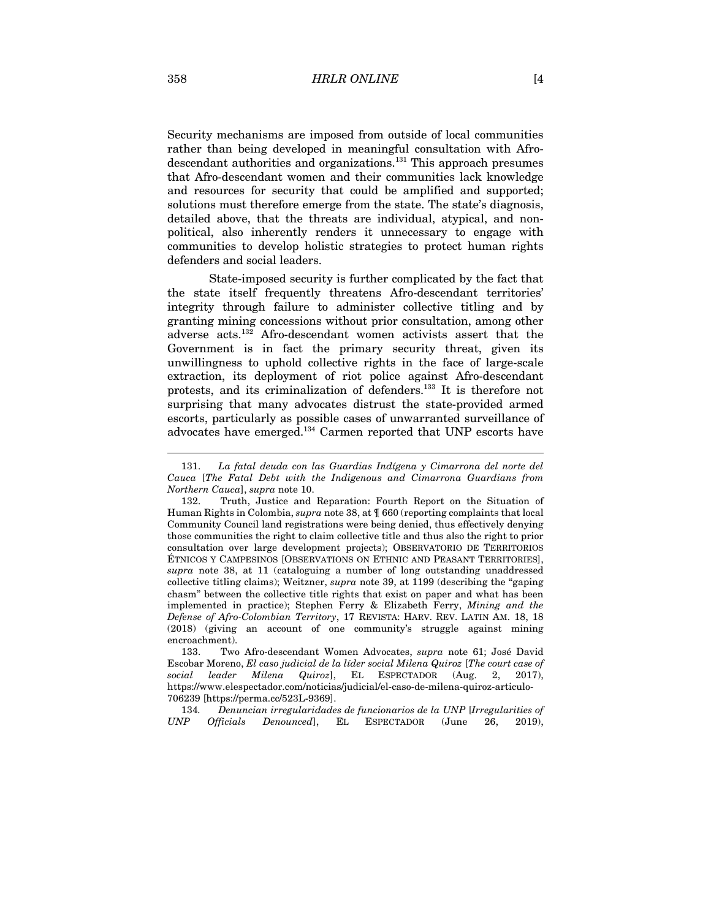Security mechanisms are imposed from outside of local communities rather than being developed in meaningful consultation with Afrodescendant authorities and organizations.<sup>131</sup> This approach presumes that Afro-descendant women and their communities lack knowledge and resources for security that could be amplified and supported; solutions must therefore emerge from the state. The state's diagnosis, detailed above, that the threats are individual, atypical, and nonpolitical, also inherently renders it unnecessary to engage with communities to develop holistic strategies to protect human rights defenders and social leaders.

State-imposed security is further complicated by the fact that the state itself frequently threatens Afro-descendant territories' integrity through failure to administer collective titling and by granting mining concessions without prior consultation, among other adverse acts. <sup>132</sup> Afro-descendant women activists assert that the Government is in fact the primary security threat, given its unwillingness to uphold collective rights in the face of large-scale extraction, its deployment of riot police against Afro-descendant protests, and its criminalization of defenders.133 It is therefore not surprising that many advocates distrust the state-provided armed escorts, particularly as possible cases of unwarranted surveillance of advocates have emerged. <sup>134</sup> Carmen reported that UNP escorts have

<sup>131.</sup> *La fatal deuda con las Guardias Indígena y Cimarrona del norte del Cauca* [*The Fatal Debt with the Indigenous and Cimarrona Guardians from Northern Cauca*], *supra* note 10.

<sup>132.</sup> Truth, Justice and Reparation: Fourth Report on the Situation of Human Rights in Colombia, *supra* note 38, at ¶ 660 (reporting complaints that local Community Council land registrations were being denied, thus effectively denying those communities the right to claim collective title and thus also the right to prior consultation over large development projects); OBSERVATORIO DE TERRITORIOS ÉTNICOS Y CAMPESINOS [OBSERVATIONS ON ETHNIC AND PEASANT TERRITORIES], *supra* note 38, at 11 (cataloguing a number of long outstanding unaddressed collective titling claims); Weitzner, *supra* note 39, at 1199 (describing the "gaping chasm" between the collective title rights that exist on paper and what has been implemented in practice); Stephen Ferry & Elizabeth Ferry, *Mining and the Defense of Afro-Colombian Territory*, 17 REVISTA: HARV. REV. LATIN AM. 18, 18 (2018) (giving an account of one community's struggle against mining encroachment).

<sup>133.</sup> Two Afro-descendant Women Advocates, *supra* note 61; José David Escobar Moreno, *El caso judicial de la líder social Milena Quiroz* [*The court case of social leader Milena Quiroz*], EL ESPECTADOR (Aug. 2, 2017), https://www.elespectador.com/noticias/judicial/el-caso-de-milena-quiroz-articulo-706239 [https://perma.cc/523L-9369].

<sup>134</sup>*. Denuncian irregularidades de funcionarios de la UNP* [*Irregularities of UNP Officials Denounced*], EL ESPECTADOR (June 26, 2019),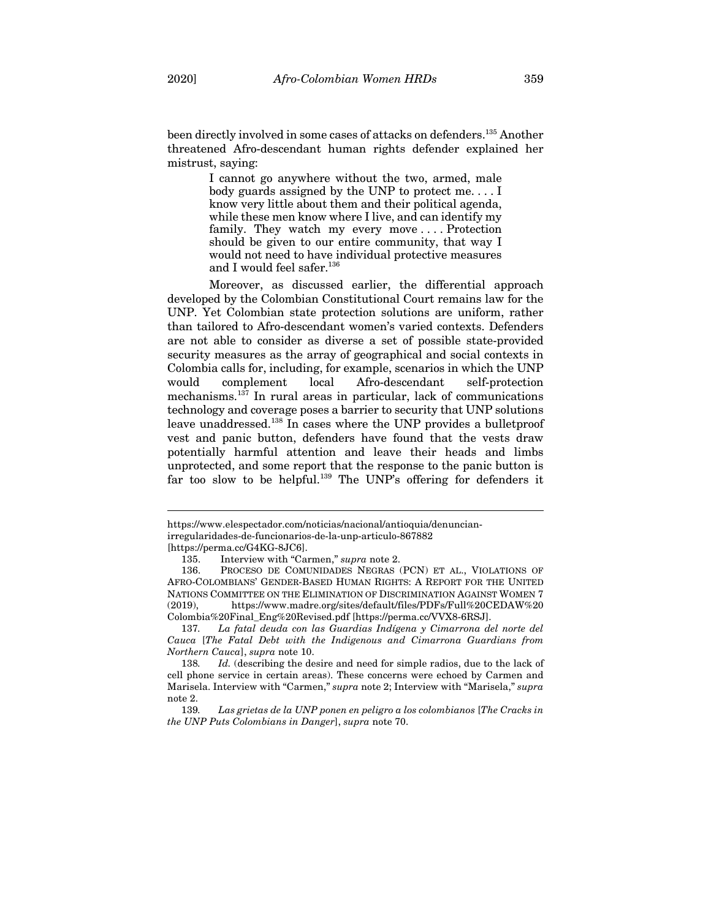been directly involved in some cases of attacks on defenders.135 Another threatened Afro-descendant human rights defender explained her mistrust, saying:

> I cannot go anywhere without the two, armed, male body guards assigned by the UNP to protect me. . . . I know very little about them and their political agenda, while these men know where I live, and can identify my family. They watch my every move . . . . Protection should be given to our entire community, that way I would not need to have individual protective measures and I would feel safer.<sup>136</sup>

Moreover, as discussed earlier, the differential approach developed by the Colombian Constitutional Court remains law for the UNP. Yet Colombian state protection solutions are uniform, rather than tailored to Afro-descendant women's varied contexts. Defenders are not able to consider as diverse a set of possible state-provided security measures as the array of geographical and social contexts in Colombia calls for, including, for example, scenarios in which the UNP would complement local Afro-descendant self-protection mechanisms. <sup>137</sup> In rural areas in particular, lack of communications technology and coverage poses a barrier to security that UNP solutions leave unaddressed.<sup>138</sup> In cases where the UNP provides a bulletproof vest and panic button, defenders have found that the vests draw potentially harmful attention and leave their heads and limbs unprotected, and some report that the response to the panic button is far too slow to be helpful.139 The UNP's offering for defenders it

https://www.elespectador.com/noticias/nacional/antioquia/denuncianirregularidades-de-funcionarios-de-la-unp-articulo-867882

<sup>[</sup>https://perma.cc/G4KG-8JC6].

<sup>135.</sup> Interview with "Carmen," *supra* note 2.

<sup>136.</sup> PROCESO DE COMUNIDADES NEGRAS (PCN) ET AL., VIOLATIONS OF AFRO-COLOMBIANS' GENDER-BASED HUMAN RIGHTS: A REPORT FOR THE UNITED NATIONS COMMITTEE ON THE ELIMINATION OF DISCRIMINATION AGAINST WOMEN 7 (2019), https://www.madre.org/sites/default/files/PDFs/Full%20CEDAW%20 Colombia%20Final\_Eng%20Revised.pdf [https://perma.cc/VVX8-6RSJ].

<sup>137</sup>*. La fatal deuda con las Guardias Indígena y Cimarrona del norte del Cauca* [*The Fatal Debt with the Indigenous and Cimarrona Guardians from Northern Cauca*], *supra* note 10.

<sup>138</sup>*. Id.* (describing the desire and need for simple radios, due to the lack of cell phone service in certain areas). These concerns were echoed by Carmen and Marisela. Interview with "Carmen," *supra* note 2; Interview with "Marisela," *supra* note 2.

<sup>139</sup>*. Las grietas de la UNP ponen en peligro a los colombianos* [*The Cracks in the UNP Puts Colombians in Danger*], *supra* note 70.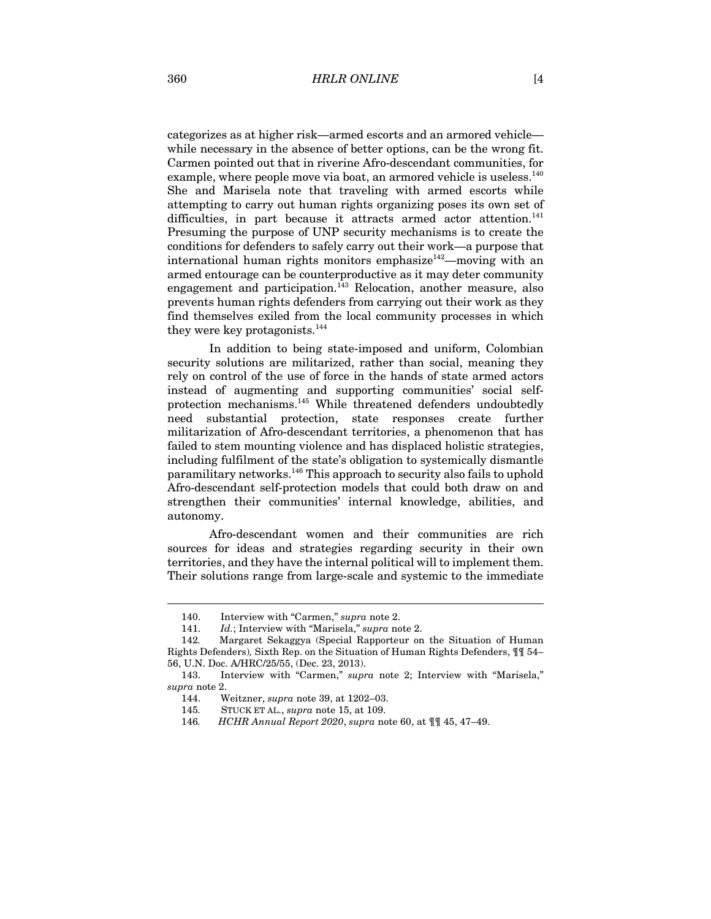categorizes as at higher risk—armed escorts and an armored vehicle while necessary in the absence of better options, can be the wrong fit. Carmen pointed out that in riverine Afro-descendant communities, for example, where people move via boat, an armored vehicle is useless.<sup>140</sup> She and Marisela note that traveling with armed escorts while attempting to carry out human rights organizing poses its own set of difficulties, in part because it attracts armed actor attention.<sup>141</sup> Presuming the purpose of UNP security mechanisms is to create the conditions for defenders to safely carry out their work—a purpose that international human rights monitors emphasize<sup>142</sup>—moving with an armed entourage can be counterproductive as it may deter community engagement and participation.<sup>143</sup> Relocation, another measure, also prevents human rights defenders from carrying out their work as they find themselves exiled from the local community processes in which they were key protagonists.<sup>144</sup>

In addition to being state-imposed and uniform, Colombian security solutions are militarized, rather than social, meaning they rely on control of the use of force in the hands of state armed actors instead of augmenting and supporting communities' social selfprotection mechanisms. <sup>145</sup> While threatened defenders undoubtedly need substantial protection, state responses create further militarization of Afro-descendant territories, a phenomenon that has failed to stem mounting violence and has displaced holistic strategies, including fulfilment of the state's obligation to systemically dismantle paramilitary networks. <sup>146</sup> This approach to security also fails to uphold Afro-descendant self-protection models that could both draw on and strengthen their communities' internal knowledge, abilities, and autonomy.

Afro-descendant women and their communities are rich sources for ideas and strategies regarding security in their own territories, and they have the internal political will to implement them. Their solutions range from large-scale and systemic to the immediate

<sup>140.</sup> Interview with "Carmen," *supra* note 2.

<sup>141.</sup> *Id.*; Interview with "Marisela," *supra* note 2.

<sup>142</sup>*.* Margaret Sekaggya (Special Rapporteur on the Situation of Human Rights Defenders)*,* Sixth Rep. on the Situation of Human Rights Defenders, ¶¶ 54– 56, U.N. Doc. A/HRC/25/55, (Dec. 23, 2013).

<sup>143.</sup> Interview with "Carmen," *supra* note 2; Interview with "Marisela," *supra* note 2.

<sup>144.</sup> Weitzner, *supra* note 39, at 1202–03.

<sup>145</sup>*.* STUCK ET AL., *supra* note 15, at 109.

<sup>146</sup>*. HCHR Annual Report 2020*, *supra* note 60, at ¶¶ 45, 47–49.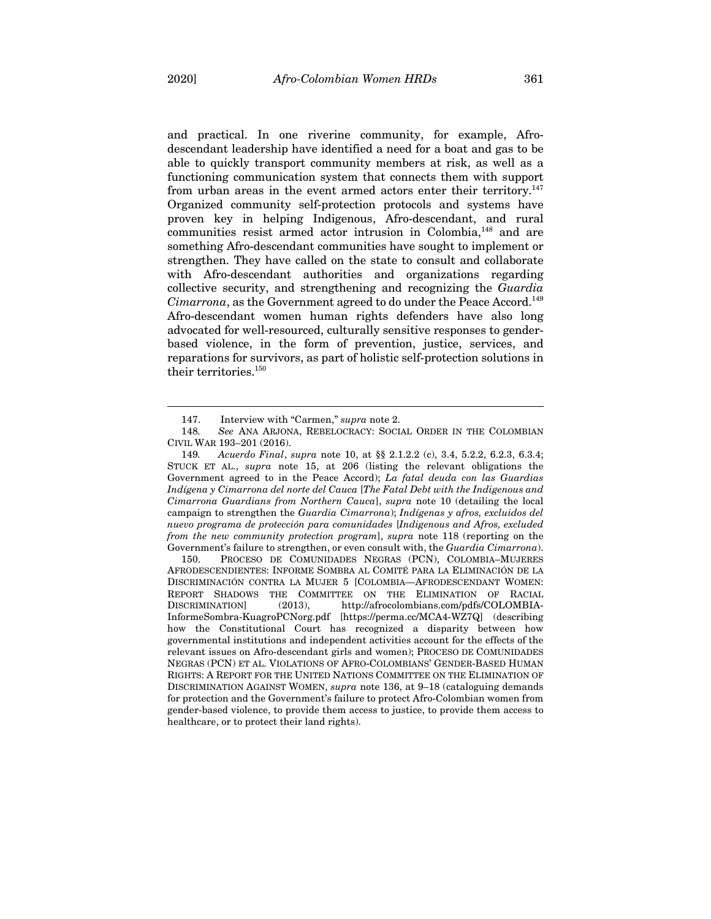and practical. In one riverine community, for example, Afrodescendant leadership have identified a need for a boat and gas to be able to quickly transport community members at risk, as well as a functioning communication system that connects them with support from urban areas in the event armed actors enter their territory.<sup>147</sup> Organized community self-protection protocols and systems have proven key in helping Indigenous, Afro-descendant, and rural communities resist armed actor intrusion in Colombia,<sup>148</sup> and are something Afro-descendant communities have sought to implement or strengthen. They have called on the state to consult and collaborate with Afro-descendant authorities and organizations regarding collective security, and strengthening and recognizing the *Guardia Cimarrona*, as the Government agreed to do under the Peace Accord.149 Afro-descendant women human rights defenders have also long advocated for well-resourced, culturally sensitive responses to genderbased violence, in the form of prevention, justice, services, and reparations for survivors, as part of holistic self-protection solutions in their territories.<sup>150</sup>

150. PROCESO DE COMUNIDADES NEGRAS (PCN), COLOMBIA–MUJERES AFRODESCENDIENTES: INFORME SOMBRA AL COMITÉ PARA LA ELIMINACIÓN DE LA DISCRIMINACIÓN CONTRA LA MUJER 5 [COLOMBIA—AFRODESCENDANT WOMEN: REPORT SHADOWS THE COMMITTEE ON THE ELIMINATION OF RACIAL DISCRIMINATION] (2013), http://afrocolombians.com/pdfs/COLOMBIA-InformeSombra-KuagroPCNorg.pdf [https://perma.cc/MCA4-WZ7Q] (describing how the Constitutional Court has recognized a disparity between how governmental institutions and independent activities account for the effects of the relevant issues on Afro-descendant girls and women); PROCESO DE COMUNIDADES NEGRAS (PCN) ET AL. VIOLATIONS OF AFRO-COLOMBIANS' GENDER-BASED HUMAN RIGHTS: A REPORT FOR THE UNITED NATIONS COMMITTEE ON THE ELIMINATION OF DISCRIMINATION AGAINST WOMEN, *supra* note 136, at 9–18 (cataloguing demands for protection and the Government's failure to protect Afro-Colombian women from gender-based violence, to provide them access to justice, to provide them access to healthcare, or to protect their land rights).

<sup>147.</sup> Interview with "Carmen," *supra* note 2.

<sup>148</sup>*. See* ANA ARJONA, REBELOCRACY: SOCIAL ORDER IN THE COLOMBIAN CIVIL WAR 193–201 (2016).

<sup>149</sup>*. Acuerdo Final*, *supra* note 10, at §§ 2.1.2.2 (c), 3.4, 5.2.2, 6.2.3, 6.3.4; STUCK ET AL., *supra* note 15, at 206 (listing the relevant obligations the Government agreed to in the Peace Accord); *La fatal deuda con las Guardias Indígena y Cimarrona del norte del Cauca* [*The Fatal Debt with the Indigenous and Cimarrona Guardians from Northern Cauca*], *supra* note 10 (detailing the local campaign to strengthen the *Guardia Cimarrona*); *Indígenas y afros, excluidos del nuevo programa de protección para comunidades* [*Indigenous and Afros, excluded from the new community protection program*], *supra* note 118 (reporting on the Government's failure to strengthen, or even consult with, the *Guardia Cimarrona*).